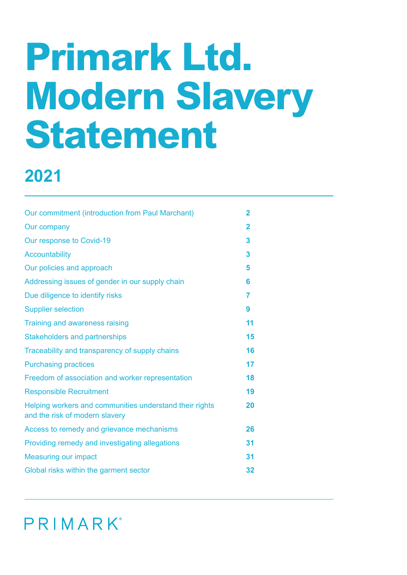# **Primark Ltd. Modern Slavery Statement**

# **2021**

| Our commitment (introduction from Paul Marchant)                                          | $\overline{2}$ |
|-------------------------------------------------------------------------------------------|----------------|
| Our company                                                                               | $\overline{2}$ |
| Our response to Covid-19                                                                  | 3              |
| <b>Accountability</b>                                                                     | 3              |
| Our policies and approach                                                                 | 5              |
| Addressing issues of gender in our supply chain                                           | 6              |
| Due diligence to identify risks                                                           | 7              |
| <b>Supplier selection</b>                                                                 | 9              |
| Training and awareness raising                                                            | 11             |
| <b>Stakeholders and partnerships</b>                                                      | 15             |
| Traceability and transparency of supply chains                                            | 16             |
| <b>Purchasing practices</b>                                                               | 17             |
| Freedom of association and worker representation                                          | 18             |
| <b>Responsible Recruitment</b>                                                            | 19             |
| Helping workers and communities understand their rights<br>and the risk of modern slavery | 20             |
| Access to remedy and grievance mechanisms                                                 | 26             |
| Providing remedy and investigating allegations                                            | 31             |
| <b>Measuring our impact</b>                                                               | 31             |
| Global risks within the garment sector                                                    | 32             |
|                                                                                           |                |

PRIMARK®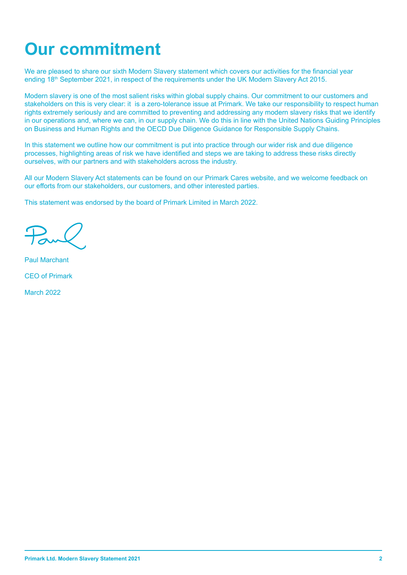# **Our commitment**

We are pleased to share our sixth Modern Slavery statement which covers our activities for the financial year ending 18<sup>th</sup> September 2021, in respect of the requirements under the UK Modern Slavery Act 2015.

Modern slavery is one of the most salient risks within global supply chains. Our commitment to our customers and stakeholders on this is very clear: it is a zero-tolerance issue at Primark. We take our responsibility to respect human rights extremely seriously and are committed to preventing and addressing any modern slavery risks that we identify in our operations and, where we can, in our supply chain. We do this in line with the United Nations Guiding Principles on Business and Human Rights and the OECD Due Diligence Guidance for Responsible Supply Chains.

In this statement we outline how our commitment is put into practice through our wider risk and due diligence processes, highlighting areas of risk we have identified and steps we are taking to address these risks directly ourselves, with our partners and with stakeholders across the industry.

All our Modern Slavery Act statements can be found on our Primark Cares website, and we welcome feedback on our efforts from our stakeholders, our customers, and other interested parties.

This statement was endorsed by the board of Primark Limited in March 2022.

Paul Marchant CEO of Primark

March 2022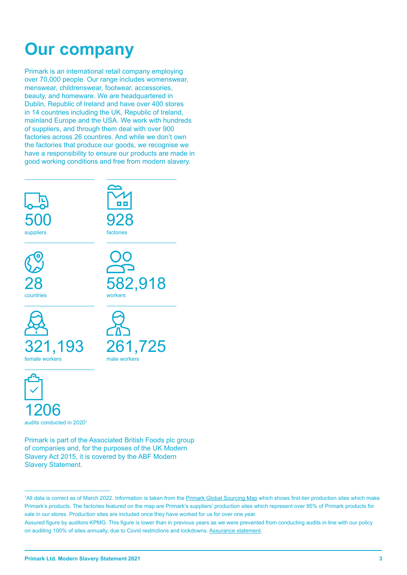# **Our company**

Primark is an international retail company employing over 70,000 people. Our range includes womenswear, menswear, childrenswear, footwear, accessories, beauty, and homeware. We are headquartered in Dublin, Republic of Ireland and have over 400 stores in 14 countries including the UK, Republic of Ireland, mainland Europe and the USA. We work with hundreds of suppliers, and through them deal with over 900 factories across 26 countires. And while we don't own the factories that produce our goods, we recognise we have a responsibility to ensure our products are made in good working conditions and free from modern slavery.

| 500            | 928          |
|----------------|--------------|
| suppliers      | factories    |
| 28             | 582,918      |
| countries      | workers      |
| 321,193        | 261,725      |
| female workers | male workers |

1206 audits conducted in 20201

Primark is part of the Associated British Foods plc group of companies and, for the purposes of the UK Modern Slavery Act 2015, it is covered by the ABF Modern Slavery Statement.

<sup>1</sup>All data is correct as of March 2022. Information is taken from the Primark Global Sourcing Map which shows first-tier production sites which make Primark's products. The factories featured on the map are Primark's suppliers' production sites which represent over 95% of Primark products for sale in our stores. Production sites are included once they have worked for us for over one year.

Assured figure by auditors KPMG. This figure is lower than in previous years as we were prevented from conducting audits in line with our policy on auditing 100% of sites annually, due to Covid restrictions and lockdowns. Assurance statement.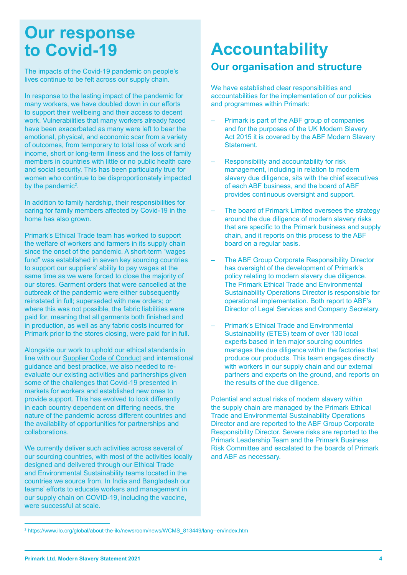### **Our response to Covid-19**

The impacts of the Covid-19 pandemic on people's lives continue to be felt across our supply chain.

In response to the lasting impact of the pandemic for many workers, we have doubled down in our efforts to support their wellbeing and their access to decent work. Vulnerabilities that many workers already faced have been exacerbated as many were left to bear the emotional, physical, and economic scar from a variety of outcomes, from temporary to total loss of work and income, short or long-term illness and the loss of family members in countries with little or no public health care and social security. This has been particularly true for women who continue to be disproportionately impacted by the pandemic<sup>2</sup>.

In addition to family hardship, their responsibilities for caring for family members affected by Covid-19 in the home has also grown.

Primark's Ethical Trade team has worked to support the welfare of workers and farmers in its supply chain since the onset of the pandemic. A short-term "wages fund" was established in seven key sourcing countries to support our suppliers' ability to pay wages at the same time as we were forced to close the majority of our stores. Garment orders that were cancelled at the outbreak of the pandemic were either subsequently reinstated in full; superseded with new orders; or where this was not possible, the fabric liabilities were paid for, meaning that all garments both finished and in production, as well as any fabric costs incurred for Primark prior to the stores closing, were paid for in full.

Alongside our work to uphold our ethical standards in line with our Supplier Code of Conduct and international guidance and best practice, we also needed to reevaluate our existing activities and partnerships given some of the challenges that Covid-19 presented in markets for workers and established new ones to provide support. This has evolved to look differently in each country dependent on differing needs, the nature of the pandemic across different countries and the availability of opportunities for partnerships and collaborations.

We currently deliver such activities across several of our sourcing countries, with most of the activities locally designed and delivered through our Ethical Trade and Environmental Sustainability teams located in the countries we source from. In India and Bangladesh our teams' efforts to educate workers and management in our supply chain on COVID-19, including the vaccine, were successful at scale.

## **Accountability Our organisation and structure**

We have established clear responsibilities and accountabilities for the implementation of our policies and programmes within Primark:

- Primark is part of the ABF group of companies and for the purposes of the UK Modern Slavery Act 2015 it is covered by the ABF Modern Slavery Statement.
- Responsibility and accountability for risk management, including in relation to modern slavery due diligence, sits with the chief executives of each ABF business, and the board of ABF provides continuous oversight and support.
- The board of Primark Limited oversees the strategy around the due diligence of modern slavery risks that are specific to the Primark business and supply chain, and it reports on this process to the ABF board on a regular basis.
- The ABF Group Corporate Responsibility Director has oversight of the development of Primark's policy relating to modern slavery due diligence. The Primark Ethical Trade and Environmental Sustainability Operations Director is responsible for operational implementation. Both report to ABF's Director of Legal Services and Company Secretary.
- Primark's Ethical Trade and Environmental Sustainability (ETES) team of over 130 local experts based in ten major sourcing countries manages the due diligence within the factories that produce our products. This team engages directly with workers in our supply chain and our external partners and experts on the ground, and reports on the results of the due diligence.

Potential and actual risks of modern slavery within the supply chain are managed by the Primark Ethical Trade and Environmental Sustainability Operations Director and are reported to the ABF Group Corporate Responsibility Director. Severe risks are reported to the Primark Leadership Team and the Primark Business Risk Committee and escalated to the boards of Primark and ABF as necessary.

<sup>2</sup> https://www.ilo.org/global/about-the-ilo/newsroom/news/WCMS\_813449/lang--en/index.htm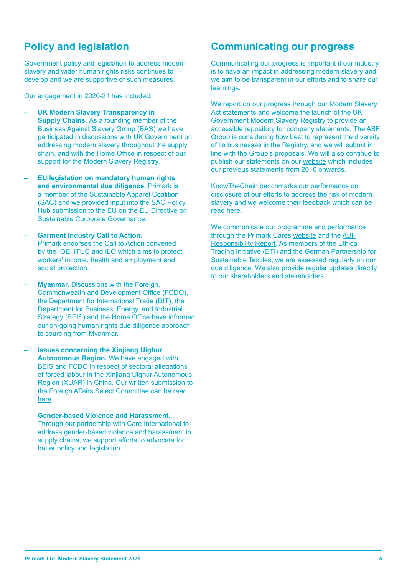### **Policy and legislation**

Government policy and legislation to address modern slavery and wider human rights risks continues to develop and we are supportive of such measures.

Our engagement in 2020-21 has included:

- **UK Modern Slavery Transparency in Supply Chains.** As a founding member of the Business Against Slavery Group (BAS) we have participated in discussions with UK Government on addressing modern slavery throughout the supply chain, and with the Home Office in respect of our support for the Modern Slavery Registry.
- **EU legislation on mandatory human rights and environmental due diligence.** Primark is a member of the Sustainable Apparel Coalition (SAC) and we provided input into the SAC Policy Hub submission to the EU on the EU Directive on Sustainable Corporate Governance.
- **Garment Industry Call to Action.** Primark endorses the Call to Action convened by the IOE, ITUC and ILO which aims to protect workers' income, health and employment and social protection.
- **Myanmar.** Discussions with the Foreign, Commonwealth and Development Office (FCDO), the Department for International Trade (DIT), the Department for Business, Energy, and Industrial Strategy (BEIS) and the Home Office have informed our on-going human rights due diligence approach to sourcing from Myanmar.
- **Issues concerning the Xinjiang Uighur Autonomous Region.** We have engaged with BEIS and FCDO in respect of sectoral allegations of forced labour in the Xinjiang Uighur Autonomous Region (XUAR) in China. Our written submission to the Foreign Affairs Select Committee can be read here.
- **Gender-based Violence and Harassment.** Through our partnership with Care International to address gender-based violence and harassment in supply chains, we support efforts to advocate for better policy and legislation.

#### **Communicating our progress**

Communicating our progress is important if our industry is to have an impact in addressing modern slavery and we aim to be transparent in our efforts and to share our learnings.

We report on our progress through our Modern Slavery Act statements and welcome the launch of the UK Government Modern Slavery Registry to provide an accessible repository for company statements. The ABF Group is considering how best to represent the diversity of its businesses in the Registry, and we will submit in line with the Group's proposals. We will also continue to publish our statements on our website which includes our previous statements from 2016 onwards.

KnowTheChain benchmarks our performance on disclosure of our efforts to address the risk of modern slavery and we welcome their feedback which can be read here.

We communicate our programme and performance through the Primark Cares website and the ABF Responsibility Report. As members of the Ethical Trading Initiative (ETI) and the German Partnership for Sustainable Textiles, we are assessed regularly on our due diligence. We also provide regular updates directly to our shareholders and stakeholders.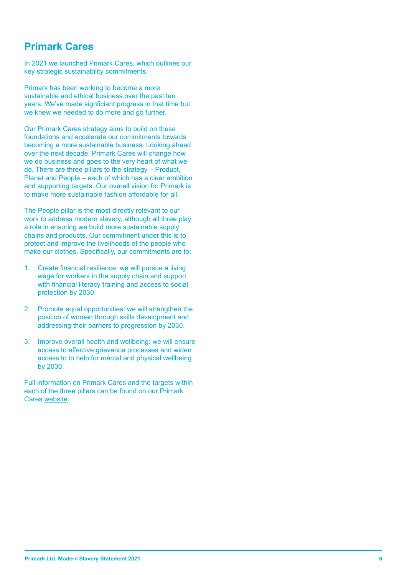#### **Primark Cares**

In 2021 we launched Primark Cares, which outlines our key strategic sustainability commitments.

Primark has been working to become a more sustainable and ethical business over the past ten years. We've made signficiant progress in that time but we knew we needed to do more and go further.

Our Primark Cares strategy aims to build on these foundations and accelerate our commitments towards becoming a more sustainable business. Looking ahead over the next decade, Primark Cares will change how we do business and goes to the very heart of what we do. There are three pillars to the strategy – Product, Planet and People – each of which has a clear ambition and supporting targets. Our overall vision for Primark is to make more sustainable fashion affordable for all.

The People pillar is the most directly relevant to our work to address modern slavery, although all three play a role in ensuring we build more sustainable supply chains and products. Our commitment under this is to protect and improve the livelihoods of the people who make our clothes. Specifically, our commitments are to:

- 1. Create financial resilience: we will pursue a living wage for workers in the supply chain and support with financial literacy training and access to social protection by 2030.
- 2. Promote equal opportunities: we will strengthen the position of women through skills development and addressing their barriers to progression by 2030.
- 3. Improve overall health and wellbeing: we will ensure access to effective grievance processes and widen access to to help for mental and physical wellbeing by 2030.

Full information on Primark Cares and the targets within each of the three pillars can be found on our Primark Cares website.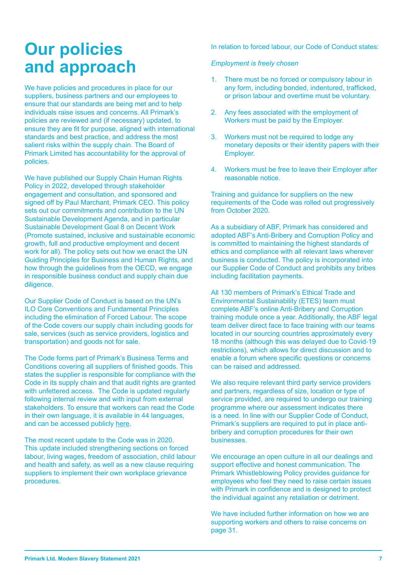# **Our policies and approach**

We have policies and procedures in place for our suppliers, business partners and our employees to ensure that our standards are being met and to help individuals raise issues and concerns. All Primark's policies are reviewed and (if necessary) updated, to ensure they are fit for purpose, aligned with international standards and best practice, and address the most salient risks within the supply chain. The Board of Primark Limited has accountability for the approval of policies.

We have published our Supply Chain Human Rights Policy in 2022, developed through stakeholder engagement and consultation, and sponsored and signed off by Paul Marchant, Primark CEO. This policy sets out our commitments and contribution to the UN Sustainable Development Agenda, and in particular Sustainable Development Goal 8 on Decent Work (Promote sustained, inclusive and sustainable economic growth, full and productive employment and decent work for all). The policy sets out how we enact the UN Guiding Principles for Business and Human Rights, and how through the guidelines from the OECD, we engage in responsible business conduct and supply chain due diligence.

Our Supplier Code of Conduct is based on the UN's ILO Core Conventions and Fundamental Principles including the elimination of Forced Labour. The scope of the Code covers our supply chain including goods for sale, services (such as service providers, logistics and transportation) and goods not for sale.

The Code forms part of Primark's Business Terms and Conditions covering all suppliers of finished goods. This states the supplier is responsible for compliance with the Code in its supply chain and that audit rights are granted with unfettered access. The Code is updated regularly following internal review and with input from external stakeholders. To ensure that workers can read the Code in their own language, it is available in 44 languages, and can be accessed publicly here.

The most recent update to the Code was in 2020. This update included strengthening sections on forced labour, living wages, freedom of association, child labour and health and safety, as well as a new clause requiring suppliers to implement their own workplace grievance procedures.

In relation to forced labour, our Code of Conduct states:

#### *Employment is freely chosen*

- 1. There must be no forced or compulsory labour in any form, including bonded, indentured, trafficked, or prison labour and overtime must be voluntary.
- 2. Any fees associated with the employment of Workers must be paid by the Employer.
- 3. Workers must not be required to lodge any monetary deposits or their identity papers with their Employer.
- 4. Workers must be free to leave their Employer after reasonable notice.

Training and guidance for suppliers on the new requirements of the Code was rolled out progressively from October 2020.

As a subsidiary of ABF, Primark has considered and adopted ABF's Anti-Bribery and Corruption Policy and is committed to maintaining the highest standards of ethics and compliance with all relevant laws wherever business is conducted. The policy is incorporated into our Supplier Code of Conduct and prohibits any bribes including facilitation payments.

All 130 members of Primark's Ethical Trade and Environmental Sustainability (ETES) team must complete ABF's online Anti-Bribery and Corruption training module once a year. Additionally, the ABF legal team deliver direct face to face training with our teams located in our sourcing countries approximately every 18 months (although this was delayed due to Covid-19 restrictions), which allows for direct discussion and to enable a forum where specific questions or concerns can be raised and addressed.

We also require relevant third party service providers and partners, regardless of size, location or type of service provided, are required to undergo our training programme where our assessment indicates there is a need. In line with our Supplier Code of Conduct, Primark's suppliers are required to put in place antibribery and corruption procedures for their own businesses.

We encourage an open culture in all our dealings and support effective and honest communication. The Primark Whistleblowing Policy provides guidance for employees who feel they need to raise certain issues with Primark in confidence and is designed to protect the individual against any retaliation or detriment.

We have included further information on how we are supporting workers and others to raise concerns on page 31.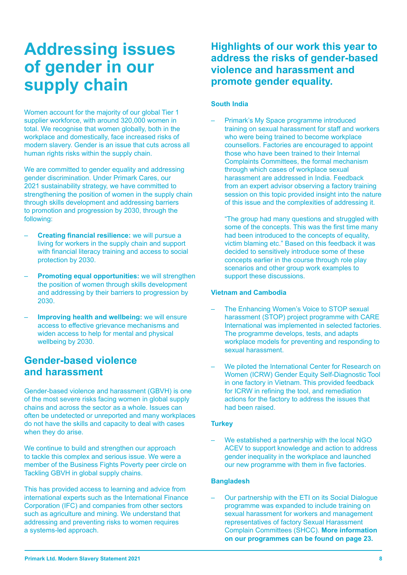# **Addressing issues of gender in our supply chain**

Women account for the majority of our global Tier 1 supplier workforce, with around 320,000 women in total. We recognise that women globally, both in the workplace and domestically, face increased risks of modern slavery. Gender is an issue that cuts across all human rights risks within the supply chain.

We are committed to gender equality and addressing gender discrimination. Under Primark Cares, our 2021 sustainability strategy, we have committed to strengthening the position of women in the supply chain through skills development and addressing barriers to promotion and progression by 2030, through the following:

- **Creating financial resilience:** we will pursue a living for workers in the supply chain and support with financial literacy training and access to social protection by 2030.
- **Promoting equal opportunities:** we will strengthen the position of women through skills development and addressing by their barriers to progression by 2030.
- Improving health and wellbeing: we will ensure access to effective grievance mechanisms and widen access to help for mental and physical wellbeing by 2030.

### **Gender-based violence and harassment**

Gender-based violence and harassment (GBVH) is one of the most severe risks facing women in global supply chains and across the sector as a whole. Issues can often be undetected or unreported and many workplaces do not have the skills and capacity to deal with cases when they do arise.

We continue to build and strengthen our approach to tackle this complex and serious issue. We were a member of the Business Fights Poverty peer circle on Tackling GBVH in global supply chains.

This has provided access to learning and advice from international experts such as the International Finance Corporation (IFC) and companies from other sectors such as agriculture and mining. We understand that addressing and preventing risks to women requires a systems-led approach.

**Highlights of our work this year to address the risks of gender-based violence and harassment and promote gender equality.**

#### **South India**

– Primark's My Space programme introduced training on sexual harassment for staff and workers who were being trained to become workplace counsellors. Factories are encouraged to appoint those who have been trained to their Internal Complaints Committees, the formal mechanism through which cases of workplace sexual harassment are addressed in India. Feedback from an expert advisor observing a factory training session on this topic provided insight into the nature of this issue and the complexities of addressing it.

"The group had many questions and struggled with some of the concepts. This was the first time many had been introduced to the concepts of equality, victim blaming etc." Based on this feedback it was decided to sensitively introduce some of these concepts earlier in the course through role play scenarios and other group work examples to support these discussions.

#### **Vietnam and Cambodia**

- The Enhancing Women's Voice to STOP sexual harassment (STOP) project programme with CARE International was implemented in selected factories. The programme develops, tests, and adapts workplace models for preventing and responding to sexual harassment.
- We piloted the International Center for Research on Women (ICRW) Gender Equity Self-Diagnostic Tool in one factory in Vietnam. This provided feedback for ICRW in refining the tool, and remediation actions for the factory to address the issues that had been raised.

#### **Turkey**

We established a partnership with the local NGO ACEV to support knowledge and action to address gender inequality in the workplace and launched our new programme with them in five factories.

#### **Bangladesh**

– Our partnership with the ETI on its Social Dialogue programme was expanded to include training on sexual harassment for workers and management representatives of factory Sexual Harassment Complain Committees (SHCC). **More information on our programmes can be found on page 23.**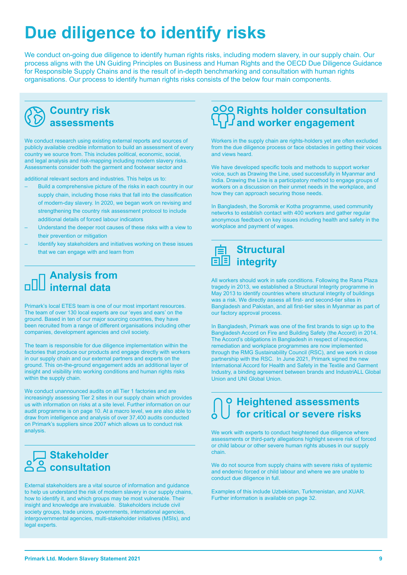# **Due diligence to identify risks**

We conduct on-going due diligence to identify human rights risks, including modern slavery, in our supply chain. Our process aligns with the UN Guiding Principles on Business and Human Rights and the OECD Due Diligence Guidance for Responsible Supply Chains and is the result of in-depth benchmarking and consultation with human rights organisations. Our process to identify human rights risks consists of the below four main components.



We conduct research using existing external reports and sources of publicly available credible information to build an assessment of every country we source from. This includes political, economic, social, and legal analysis and risk-mapping including modern slavery risks. Assessments consider both the garment and footwear sector and

additional relevant sectors and industries. This helps us to:

- Build a comprehensive picture of the risks in each country in our supply chain, including those risks that fall into the classification of modern-day slavery. In 2020, we began work on revising and strengthening the country risk assessment protocol to include additional details of forced labour indicators
- Understand the deeper root causes of these risks with a view to their prevention or mitigation
- Identify key stakeholders and initiatives working on these issues that we can engage with and learn from

### **Analysis from internal data**

Primark's local ETES team is one of our most important resources. The team of over 130 local experts are our 'eyes and ears' on the ground. Based in ten of our major sourcing countries, they have been recruited from a range of different organisations including other companies, development agencies and civil society.

The team is responsible for due diligence implementation within the factories that produce our products and engage directly with workers in our supply chain and our external partners and experts on the ground. This on-the-ground engagement adds an additional layer of insight and visibility into working conditions and human rights risks within the supply chain.

We conduct unannounced audits on all Tier 1 factories and are increasingly assessing Tier 2 sites in our supply chain which provides us with information on risks at a site level. Further information on our audit programme is on page 10. At a macro level, we are also able to draw from intelligence and analysis of over 37,400 audits conducted on Primark's suppliers since 2007 which allows us to conduct risk analysis.

### **Stakeholder consultation**

External stakeholders are a vital source of information and guidance to help us understand the risk of modern slavery in our supply chains, how to identify it, and which groups may be most vulnerable. Their insight and knowledge are invaluable. Stakeholders include civil society groups, trade unions, governments, international agencies, intergovernmental agencies, multi-stakeholder initiatives (MSIs), and legal experts.

### **Rights holder consultation and worker engagement**

Workers in the supply chain are rights-holders yet are often excluded from the due diligence process or face obstacles in getting their voices and views heard.

We have developed specific tools and methods to support worker voice, such as Drawing the Line, used successfully in Myanmar and India. Drawing the Line is a participatory method to engage groups of workers on a discussion on their unmet needs in the workplace, and how they can approach securing those needs.

In Bangladesh, the Soromik er Kotha programme, used community networks to establish contact with 400 workers and gather regular anonymous feedback on key issues including health and safety in the workplace and payment of wages.



All workers should work in safe conditions. Following the Rana Plaza tragedy in 2013, we established a Structural Integrity programme in May 2013 to identify countries where structural integrity of buildings was a risk. We directly assess all first- and second-tier sites in Bangladesh and Pakistan, and all first-tier sites in Myanmar as part of our factory approval process.

In Bangladesh, Primark was one of the first brands to sign up to the Bangladesh Accord on Fire and Building Safety (the Accord) in 2014. The Accord's obligations in Bangladesh in respect of inspections, remediation and workplace programmes are now implemented through the RMG Sustainability Council (RSC), and we work in close partnership with the RSC. In June 2021, Primark signed the new International Accord for Health and Safety in the Textile and Garment Industry, a binding agreement between brands and IndustriALL Global Union and UNI Global Union.

### **Heightened assessments for critical or severe risks**

We work with experts to conduct heightened due diligence where assessments or third-party allegations highlight severe risk of forced or child labour or other severe human rights abuses in our supply chain.

We do not source from supply chains with severe risks of systemic and endemic forced or child labour and where we are unable to conduct due diligence in full.

Examples of this include Uzbekistan, Turkmenistan, and XUAR. Further information is available on page 32.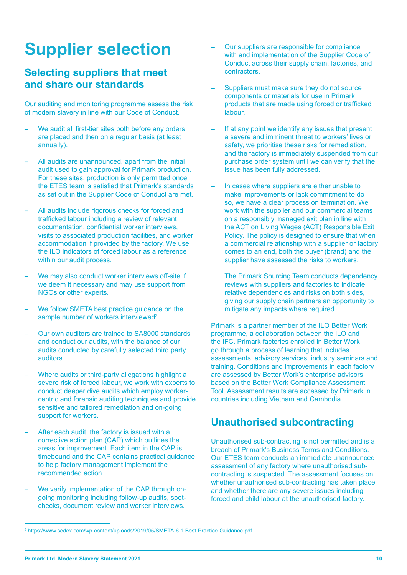# **Supplier selection**

#### **Selecting suppliers that meet and share our standards**

Our auditing and monitoring programme assess the risk of modern slavery in line with our Code of Conduct.

- We audit all first-tier sites both before any orders are placed and then on a regular basis (at least annually).
- All audits are unannounced, apart from the initial audit used to gain approval for Primark production. For these sites, production is only permitted once the ETES team is satisfied that Primark's standards as set out in the Supplier Code of Conduct are met.
- All audits include rigorous checks for forced and trafficked labour including a review of relevant documentation, confidential worker interviews, visits to associated production facilities, and worker accommodation if provided by the factory. We use the ILO indicators of forced labour as a reference within our audit process.
- We may also conduct worker interviews off-site if we deem it necessary and may use support from NGOs or other experts.
- We follow SMETA best practice guidance on the sample number of workers interviewed<sup>3</sup>.
- Our own auditors are trained to SA8000 standards and conduct our audits, with the balance of our audits conducted by carefully selected third party auditors.
- Where audits or third-party allegations highlight a severe risk of forced labour, we work with experts to conduct deeper dive audits which employ workercentric and forensic auditing techniques and provide sensitive and tailored remediation and on-going support for workers.
- After each audit, the factory is issued with a corrective action plan (CAP) which outlines the areas for improvement. Each item in the CAP is timebound and the CAP contains practical guidance to help factory management implement the recommended action.
- We verify implementation of the CAP through ongoing monitoring including follow-up audits, spotchecks, document review and worker interviews.
- Our suppliers are responsible for compliance with and implementation of the Supplier Code of Conduct across their supply chain, factories, and contractors.
- Suppliers must make sure they do not source components or materials for use in Primark products that are made using forced or trafficked labour.
- If at any point we identify any issues that present a severe and imminent threat to workers' lives or safety, we prioritise these risks for remediation, and the factory is immediately suspended from our purchase order system until we can verify that the issue has been fully addressed.
- In cases where suppliers are either unable to make improvements or lack commitment to do so, we have a clear process on termination. We work with the supplier and our commercial teams on a responsibly managed exit plan in line with the ACT on Living Wages (ACT) Responsible Exit Policy. The policy is designed to ensure that when a commercial relationship with a supplier or factory comes to an end, both the buyer (brand) and the supplier have assessed the risks to workers.

The Primark Sourcing Team conducts dependency reviews with suppliers and factories to indicate relative dependencies and risks on both sides, giving our supply chain partners an opportunity to mitigate any impacts where required.

Primark is a partner member of the ILO Better Work programme, a collaboration between the ILO and the IFC. Primark factories enrolled in Better Work go through a process of learning that includes assessments, advisory services, industry seminars and training. Conditions and improvements in each factory are assessed by Better Work's enterprise advisors based on the Better Work Compliance Assessment Tool. Assessment results are accessed by Primark in countries including Vietnam and Cambodia.

#### **Unauthorised subcontracting**

Unauthorised sub-contracting is not permitted and is a breach of Primark's Business Terms and Conditions. Our ETES team conducts an immediate unannounced assessment of any factory where unauthorised subcontracting is suspected. The assessment focuses on whether unauthorised sub-contracting has taken place and whether there are any severe issues including forced and child labour at the unauthorised factory.

<sup>3</sup> https://www.sedex.com/wp-content/uploads/2019/05/SMETA-6.1-Best-Practice-Guidance.pdf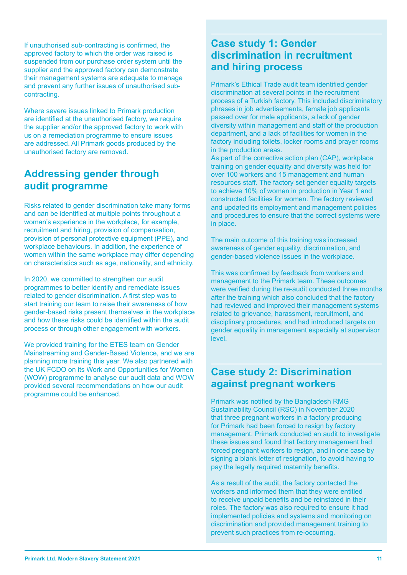If unauthorised sub-contracting is confirmed, the approved factory to which the order was raised is suspended from our purchase order system until the supplier and the approved factory can demonstrate their management systems are adequate to manage and prevent any further issues of unauthorised subcontracting.

Where severe issues linked to Primark production are identified at the unauthorised factory, we require the supplier and/or the approved factory to work with us on a remediation programme to ensure issues are addressed. All Primark goods produced by the unauthorised factory are removed.

### **Addressing gender through audit programme**

Risks related to gender discrimination take many forms and can be identified at multiple points throughout a woman's experience in the workplace, for example, recruitment and hiring, provision of compensation, provision of personal protective equipment (PPE), and workplace behaviours. In addition, the experience of women within the same workplace may differ depending on characteristics such as age, nationality, and ethnicity.

In 2020, we committed to strengthen our audit programmes to better identify and remediate issues related to gender discrimination. A first step was to start training our team to raise their awareness of how gender-based risks present themselves in the workplace and how these risks could be identified within the audit process or through other engagement with workers.

We provided training for the ETES team on Gender Mainstreaming and Gender-Based Violence, and we are planning more training this year. We also partnered with the UK FCDO on its Work and Opportunities for Women (WOW) programme to analyse our audit data and WOW provided several recommendations on how our audit programme could be enhanced.

#### **Case study 1: Gender discrimination in recruitment and hiring process**

Primark's Ethical Trade audit team identified gender discrimination at several points in the recruitment process of a Turkish factory. This included discriminatory phrases in job advertisements, female job applicants passed over for male applicants, a lack of gender diversity within management and staff of the production department, and a lack of facilities for women in the factory including toilets, locker rooms and prayer rooms in the production areas.

As part of the corrective action plan (CAP), workplace training on gender equality and diversity was held for over 100 workers and 15 management and human resources staff. The factory set gender equality targets to achieve 10% of women in production in Year 1 and constructed facilities for women. The factory reviewed and updated its employment and management policies and procedures to ensure that the correct systems were in place.

The main outcome of this training was increased awareness of gender equality, discrimination, and gender-based violence issues in the workplace.

This was confirmed by feedback from workers and management to the Primark team. These outcomes were verified during the re-audit conducted three months after the training which also concluded that the factory had reviewed and improved their management systems related to grievance, harassment, recruitment, and disciplinary procedures, and had introduced targets on gender equality in management especially at supervisor level.

### **Case study 2: Discrimination against pregnant workers**

Primark was notified by the Bangladesh RMG Sustainability Council (RSC) in November 2020 that three pregnant workers in a factory producing for Primark had been forced to resign by factory management. Primark conducted an audit to investigate these issues and found that factory management had forced pregnant workers to resign, and in one case by signing a blank letter of resignation, to avoid having to pay the legally required maternity benefits.

As a result of the audit, the factory contacted the workers and informed them that they were entitled to receive unpaid benefits and be reinstated in their roles. The factory was also required to ensure it had implemented policies and systems and monitoring on discrimination and provided management training to prevent such practices from re-occurring.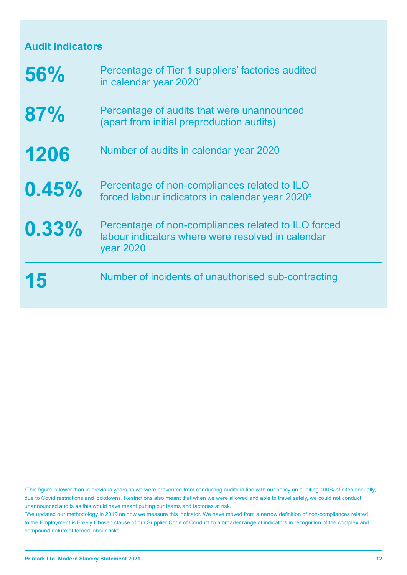### **Audit indicators**

| 56%   | Percentage of Tier 1 suppliers' factories audited<br>in calendar year 2020 <sup>4</sup>                                      |
|-------|------------------------------------------------------------------------------------------------------------------------------|
| 87%   | Percentage of audits that were unannounced<br>(apart from initial preproduction audits)                                      |
| 1206  | Number of audits in calendar year 2020                                                                                       |
| 0.45% | Percentage of non-compliances related to ILO<br>forced labour indicators in calendar year 2020 <sup>5</sup>                  |
| 0.33% | Percentage of non-compliances related to ILO forced<br>labour indicators where were resolved in calendar<br><b>year 2020</b> |
| 15    | Number of incidents of unauthorised sub-contracting                                                                          |

<sup>4</sup> This figure is lower than in previous years as we were prevented from conducting audits in line with our policy on auditing 100% of sites annually, due to Covid restrictions and lockdowns. Restrictions also meant that when we were allowed and able to travel safely, we could not conduct unannounced audits as this would have meant putting our teams and factories at risk.

<sup>5</sup> We updated our methodology in 2019 on how we measure this indicator. We have moved from a narrow definition of non-compliances related to the Employment is Freely Chosen clause of our Supplier Code of Conduct to a broader range of indicators in recognition of the complex and compound nature of forced labour risks.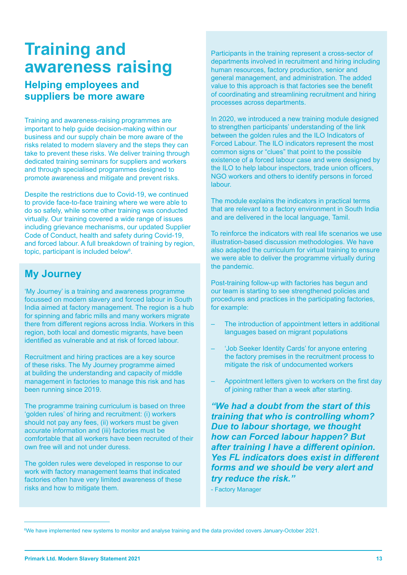# **Training and awareness raising**

### **Helping employees and suppliers be more aware**

Training and awareness-raising programmes are important to help guide decision-making within our business and our supply chain be more aware of the risks related to modern slavery and the steps they can take to prevent these risks. We deliver training through dedicated training seminars for suppliers and workers and through specialised programmes designed to promote awareness and mitigate and prevent risks.

Despite the restrictions due to Covid-19, we continued to provide face-to-face training where we were able to do so safely, while some other training was conducted virtually. Our training covered a wide range of issues including grievance mechanisms, our updated Supplier Code of Conduct, health and safety during Covid-19, and forced labour. A full breakdown of training by region, topic, participant is included below<sup>6</sup>.

### **My Journey**

'My Journey' is a training and awareness programme focussed on modern slavery and forced labour in South India aimed at factory management. The region is a hub for spinning and fabric mills and many workers migrate there from different regions across India. Workers in this region, both local and domestic migrants, have been identified as vulnerable and at risk of forced labour.

Recruitment and hiring practices are a key source of these risks. The My Journey programme aimed at building the understanding and capacity of middle management in factories to manage this risk and has been running since 2019.

The programme training curriculum is based on three 'golden rules' of hiring and recruitment: (i) workers should not pay any fees, (ii) workers must be given accurate information and (iii) factories must be comfortable that all workers have been recruited of their own free will and not under duress.

The golden rules were developed in response to our work with factory management teams that indicated factories often have very limited awareness of these risks and how to mitigate them.

Participants in the training represent a cross-sector of departments involved in recruitment and hiring including human resources, factory production, senior and general management, and administration. The added value to this approach is that factories see the benefit of coordinating and streamlining recruitment and hiring processes across departments.

In 2020, we introduced a new training module designed to strengthen participants' understanding of the link between the golden rules and the ILO Indicators of Forced Labour. The ILO indicators represent the most common signs or "clues" that point to the possible existence of a forced labour case and were designed by the ILO to help labour inspectors, trade union officers, NGO workers and others to identify persons in forced labour.

The module explains the indicators in practical terms that are relevant to a factory environment in South India and are delivered in the local language, Tamil.

To reinforce the indicators with real life scenarios we use illustration-based discussion methodologies. We have also adapted the curriculum for virtual training to ensure we were able to deliver the programme virtually during the pandemic.

Post-training follow-up with factories has begun and our team is starting to see strengthened policies and procedures and practices in the participating factories, for example:

- The introduction of appointment letters in additional languages based on migrant populations
- 'Job Seeker Identity Cards' for anyone entering the factory premises in the recruitment process to mitigate the risk of undocumented workers
- Appointment letters given to workers on the first day of joining rather than a week after starting.

*"We had a doubt from the start of this training that who is controlling whom? Due to labour shortage, we thought how can Forced labour happen? But after training I have a different opinion. Yes FL indicators does exist in different forms and we should be very alert and try reduce the risk."*

- Factory Manager

<sup>6</sup> We have implemented new systems to monitor and analyse training and the data provided covers January-October 2021.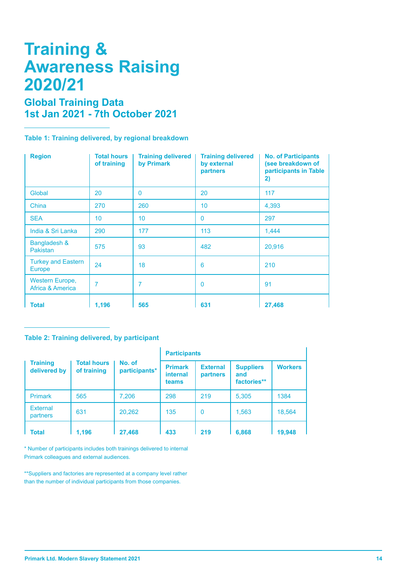# **Training & Awareness Raising 2020/21**

### **Global Training Data 1st Jan 2021 - 7th October 2021**

**Table 1: Training delivered, by regional breakdown**

| <b>Region</b>                       | <b>Total hours</b><br>of training | <b>Training delivered</b><br>by Primark | <b>Training delivered</b><br>by external<br>partners | <b>No. of Participants</b><br>(see breakdown of<br>participants in Table<br>2) |
|-------------------------------------|-----------------------------------|-----------------------------------------|------------------------------------------------------|--------------------------------------------------------------------------------|
| Global                              | 20                                | $\mathbf 0$                             | 20                                                   | 117                                                                            |
| China                               | 270                               | 260                                     | 10 <sup>°</sup>                                      | 4,393                                                                          |
| <b>SEA</b>                          | 10                                | 10                                      | $\mathbf{0}$                                         | 297                                                                            |
| India & Sri Lanka                   | 290                               | 177                                     | 113                                                  | 1,444                                                                          |
| Bangladesh &<br><b>Pakistan</b>     | 575                               | 93                                      | 482                                                  | 20,916                                                                         |
| <b>Turkey and Eastern</b><br>Europe | 24                                | 18                                      | 6                                                    | 210                                                                            |
| Western Europe,<br>Africa & America | 7                                 | 7                                       | 0                                                    | 91                                                                             |
| <b>Total</b>                        | 1,196                             | 565                                     | 631                                                  | 27,468                                                                         |

#### **Table 2: Training delivered, by participant**

|                                 |                                   |                         | <b>Participants</b>                        |                             |                                        |                |
|---------------------------------|-----------------------------------|-------------------------|--------------------------------------------|-----------------------------|----------------------------------------|----------------|
| <b>Training</b><br>delivered by | <b>Total hours</b><br>of training | No. of<br>participants* | <b>Primark</b><br><b>internal</b><br>teams | <b>External</b><br>partners | <b>Suppliers</b><br>and<br>factories** | <b>Workers</b> |
| <b>Primark</b>                  | 565                               | 7,206                   | 298                                        | 219                         | 5,305                                  | 1384           |
| <b>External</b><br>partners     | 631                               | 20,262                  | 135                                        | $\mathbf{0}$                | 1,563                                  | 18,564         |
| <b>Total</b>                    | 1.196                             | 27,468                  | 433                                        | 219                         | 6,868                                  | 19,948         |

\* Number of participants includes both trainings delivered to internal Primark colleagues and external audiences.

\*\*Suppliers and factories are represented at a company level rather than the number of individual participants from those companies.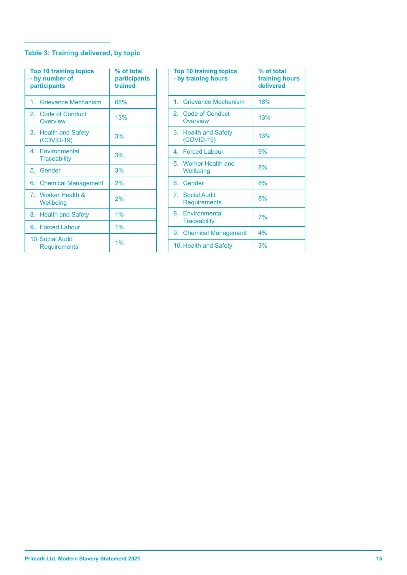#### **Table 3: Training delivered, by topic**

| <b>Top 10 training topics</b><br>- by number of<br>participants | % of total<br>participants<br>trained |
|-----------------------------------------------------------------|---------------------------------------|
| 1. Grievance Mechanism                                          | 68%                                   |
| 2. Code of Conduct<br>Overview                                  | 13%                                   |
| 3. Health and Safety<br>$(COVID-19)$                            | 3%                                    |
| 4. Environmental<br><b>Traceability</b>                         | 3%                                    |
| 5. Gender                                                       | 3%                                    |
| 6. Chemical Management                                          | 2%                                    |
| 7. Worker Health &<br>Wellbeing                                 | 2%                                    |
| 8. Health and Safety                                            | 1%                                    |
| 9. Forced Labour                                                | 1%                                    |
| 10. Social Audit<br><b>Requirements</b>                         | 1%                                    |

| <b>Top 10 training topics</b><br>- by training hours | % of total<br>training hours<br>delivered |
|------------------------------------------------------|-------------------------------------------|
| 1. Grievance Mechanism                               | 18%                                       |
| 2. Code of Conduct<br>Overview                       | 13%                                       |
| 3. Health and Safety<br>$(COVID-19)$                 | 13%                                       |
| 4. Forced Labour                                     | 9%                                        |
| 5. Worker Health and<br>Wellbeing                    | 8%                                        |
| 6. Gender                                            | 8%                                        |
| 7. Social Audit<br><b>Requirements</b>               | 8%                                        |
| 8. Environmental<br><b>Traceability</b>              | 7%                                        |
| 9. Chemical Management                               | 4%                                        |
| 10. Health and Safety                                | 3%                                        |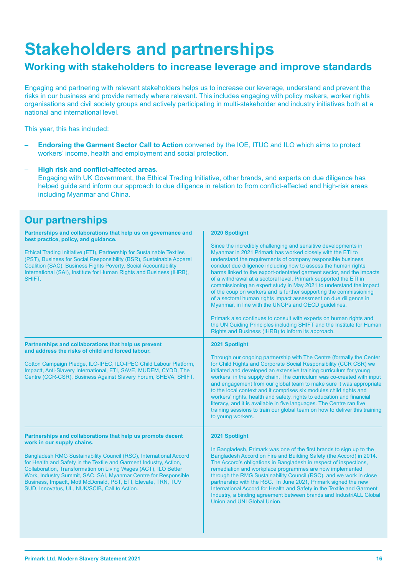# **Stakeholders and partnerships**

#### **Working with stakeholders to increase leverage and improve standards**

Engaging and partnering with relevant stakeholders helps us to increase our leverage, understand and prevent the risks in our business and provide remedy where relevant. This includes engaging with policy makers, worker rights organisations and civil society groups and actively participating in multi-stakeholder and industry initiatives both at a national and international level.

This year, this has included:

– **Endorsing the Garment Sector Call to Action** convened by the IOE, ITUC and ILO which aims to protect workers' income, health and employment and social protection.

#### – **High risk and conflict-affected areas.**

Engaging with UK Government, the Ethical Trading Initiative, other brands, and experts on due diligence has helped guide and inform our approach to due diligence in relation to from conflict-affected and high-risk areas including Myanmar and China.

#### **Our partnerships**

| Partnerships and collaborations that help us on governance and<br>best practice, policy, and quidance.<br>Ethical Trading Initiative (ETI), Partnership for Sustainable Textiles<br>(PST), Business for Social Responsibility (BSR), Sustainable Apparel<br>Coalition (SAC), Business Fights Poverty, Social Accountability<br>International (SAI), Institute for Human Rights and Business (IHRB),<br>SHIFT.                                                                                | 2020 Spotlight<br>Since the incredibly challenging and sensitive developments in<br>Myanmar in 2021 Primark has worked closely with the ETI to<br>understand the requirements of company responsible business<br>conduct due diligence including how to assess the human rights<br>harms linked to the export-orientated garment sector, and the impacts<br>of a withdrawal at a sectoral level. Primark supported the ETI in<br>commissioning an expert study in May 2021 to understand the impact<br>of the coup on workers and is further supporting the commissioning<br>of a sectoral human rights impact assessment on due diligence in<br>Myanmar, in line with the UNGPs and OECD guidelines.<br>Primark also continues to consult with experts on human rights and<br>the UN Guiding Principles including SHIFT and the Institute for Human<br>Rights and Business (IHRB) to inform its approach. |
|----------------------------------------------------------------------------------------------------------------------------------------------------------------------------------------------------------------------------------------------------------------------------------------------------------------------------------------------------------------------------------------------------------------------------------------------------------------------------------------------|------------------------------------------------------------------------------------------------------------------------------------------------------------------------------------------------------------------------------------------------------------------------------------------------------------------------------------------------------------------------------------------------------------------------------------------------------------------------------------------------------------------------------------------------------------------------------------------------------------------------------------------------------------------------------------------------------------------------------------------------------------------------------------------------------------------------------------------------------------------------------------------------------------|
| Partnerships and collaborations that help us prevent<br>and address the risks of child and forced labour.<br>Cotton Campaign Pledge, ILO-IPEC, ILO-IPEC Child Labour Platform,<br>Impactt, Anti-Slavery International, ETI, SAVE, MUDEM, CYDD, The<br>Centre (CCR-CSR), Business Against Slavery Forum, SHEVA, SHIFT.                                                                                                                                                                        | 2021 Spotlight<br>Through our ongoing partnership with The Centre (formally the Center<br>for Child Rights and Corporate Social Responsibility (CCR CSR) we<br>initiated and developed an extensive training curriculum for young<br>workers in the supply chain. The curriculum was co-created with input<br>and engagement from our global team to make sure it was appropriate<br>to the local context and it comprises six modules child rights and<br>workers' rights, health and safety, rights to education and financial<br>literacy, and it is available in five languages. The Centre ran five<br>training sessions to train our global team on how to deliver this training<br>to young workers.                                                                                                                                                                                                |
| Partnerships and collaborations that help us promote decent<br>work in our supply chains.<br>Bangladesh RMG Sustainability Council (RSC), International Accord<br>for Health and Safety in the Textile and Garment Industry, Action,<br>Collaboration, Transformation on Living Wages (ACT), ILO Better<br>Work, Industry Summit, SAC, SAI, Myanmar Centre for Responsible<br>Business, Impactt, Mott McDonald, PST, ETI, Elevate, TRN, TUV<br>SUD, Innovatus, UL, NUK/SCIB, Call to Action. | 2021 Spotlight<br>In Bangladesh, Primark was one of the first brands to sign up to the<br>Bangladesh Accord on Fire and Building Safety (the Accord) in 2014.<br>The Accord's obligations in Bangladesh in respect of inspections,<br>remediation and workplace programmes are now implemented<br>through the RMG Sustainability Council (RSC), and we work in close<br>partnership with the RSC. In June 2021, Primark signed the new<br>International Accord for Health and Safety in the Textile and Garment<br>Industry, a binding agreement between brands and IndustriALL Global<br>Union and UNI Global Union.                                                                                                                                                                                                                                                                                      |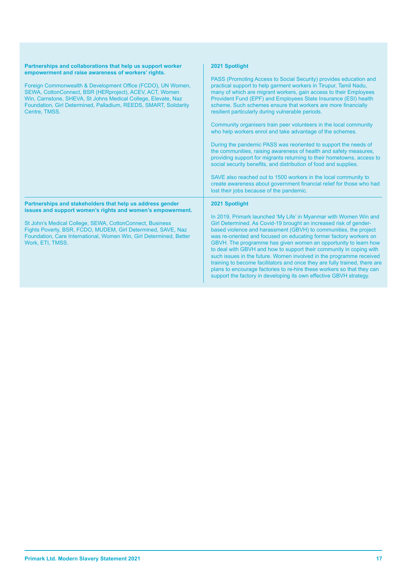| Partnerships and collaborations that help us support worker<br>empowerment and raise awareness of workers' rights.<br>Foreign Commonwealth & Development Office (FCDO), UN Women,<br>SEWA, CottonConnect, BSR (HERproject), ACEV, ACT, Women<br>Win, Carnstone, SHEVA, St Johns Medical College, Elevate, Naz<br>Foundation, Girl Determined, Palladium, REEDS, SMART, Solidarity<br>Centre, TMSS. | 2021 Spotlight<br>PASS (Promoting Access to Social Security) provides education and<br>practical support to help garment workers in Tirupur, Tamil Nadu,<br>many of which are migrant workers, gain access to their Employees<br>Provident Fund (EPF) and Employees State Insurance (ESI) health<br>scheme. Such schemes ensure that workers are more financially<br>resilient particularly during vulnerable periods.<br>Community organisers train peer volunteers in the local community<br>who help workers enrol and take advantage of the schemes.<br>During the pandemic PASS was reoriented to support the needs of<br>the communities, raising awareness of health and safety measures,<br>providing support for migrants returning to their hometowns, access to<br>social security benefits, and distribution of food and supplies.<br>SAVE also reached out to 1500 workers in the local community to<br>create awareness about government financial relief for those who had<br>lost their jobs because of the pandemic. |
|----------------------------------------------------------------------------------------------------------------------------------------------------------------------------------------------------------------------------------------------------------------------------------------------------------------------------------------------------------------------------------------------------|---------------------------------------------------------------------------------------------------------------------------------------------------------------------------------------------------------------------------------------------------------------------------------------------------------------------------------------------------------------------------------------------------------------------------------------------------------------------------------------------------------------------------------------------------------------------------------------------------------------------------------------------------------------------------------------------------------------------------------------------------------------------------------------------------------------------------------------------------------------------------------------------------------------------------------------------------------------------------------------------------------------------------------------|
| Partnerships and stakeholders that help us address gender<br>issues and support women's rights and women's empowerment.<br>St John's Medical College, SEWA, CottonConnect, Business<br>Fights Poverty, BSR, FCDO, MUDEM, Girl Determined, SAVE, Naz<br>Foundation, Care International, Women Win, Girl Determined, Better<br>Work, ETI, TMSS.                                                      | 2021 Spotlight<br>In 2019, Primark launched 'My Life' in Myanmar with Women Win and<br>Girl Determined. As Covid-19 brought an increased risk of gender-<br>based violence and harassment (GBVH) to communities, the project<br>was re-oriented and focused on educating former factory workers on<br>GBVH. The programme has given women an opportunity to learn how<br>to deal with GBVH and how to support their community in coping with<br>such issues in the future. Women involved in the programme received<br>training to become facilitators and once they are fully trained, there are<br>plans to encourage factories to re-hire these workers so that they can<br>support the factory in developing its own effective GBVH strategy.                                                                                                                                                                                                                                                                                     |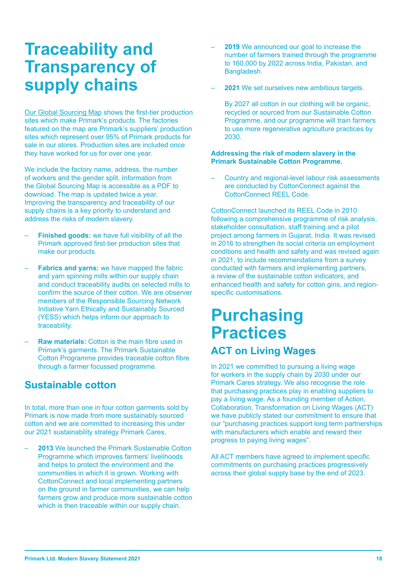# **Traceability and Transparency of supply chains**

Our Global Sourcing Map shows the first-tier production sites which make Primark's products. The factories featured on the map are Primark's suppliers' production sites which represent over 95% of Primark products for sale in our stores. Production sites are included once they have worked for us for over one year.

We include the factory name, address, the number of workers and the gender split. Information from the Global Sourcing Map is accessible as a PDF to download. The map is updated twice a year. Improving the transparency and traceability of our supply chains is a key priority to understand and address the risks of modern slavery.

- **Finished goods:** we have full visibility of all the Primark approved first-tier production sites that make our products.
- **Fabrics and yarns:** we have mapped the fabric and yarn spinning mills within our supply chain and conduct traceability audits on selected mills to confirm the source of their cotton. We are observer members of the Responsible Sourcing Network Initiative Yarn Ethically and Sustainably Sourced (YESS) which helps inform our approach to traceability.
- **Raw materials:** Cotton is the main fibre used in Primark's garments. The Primark Sustainable Cotton Programme provides traceable cotton fibre through a farmer focussed programme.

#### **Sustainable cotton**

In total, more than one in four cotton garments sold by Primark is now made from more sustainably sourced cotton and we are committed to increasing this under our 2021 sustainability strategy Primark Cares,

– **2013** We launched the Primark Sustainable Cotton Programme which improves farmers' livelihoods and helps to protect the environment and the communities in which it is grown. Working with CottonConnect and local implementing partners on the ground in farmer communities, we can help farmers grow and produce more sustainable cotton which is then traceable within our supply chain.

- **2019** We announced our goal to increase the number of farmers trained through the programme to 160,000 by 2022 across India, Pakistan, and Bangladesh.
- **2021** We set ourselves new ambitious targets.

By 2027 all cotton in our clothing will be organic, recycled or sourced from our Sustainable Cotton Programme, and our programme will train farmers to use more regenerative agriculture practices by 2030.

#### **Addressing the risk of modern slavery in the Primark Sustainable Cotton Programme.**

– Country and regional-level labour risk assessments are conducted by CottonConnect against the CottonConnect REEL Code.

CottonConnect launched its REEL Code in 2010 following a comprehensive programme of risk analysis, stakeholder consultation, staff training and a pilot project among farmers in Gujarat, India. It was revised in 2016 to strengthen its social criteria on employment conditions and health and safety and was revised again in 2021, to include recommendations from a survey conducted with farmers and implementing partners, a review of the sustainable cotton indicators, and enhanced health and safety for cotton gins, and regionspecific customisations.

### **Purchasing Practices ACT on Living Wages**

In 2021 we committed to pursuing a living wage for workers in the supply chain by 2030 under our Primark Cares strategy. We also recognise the role that purchasing practices play in enabling suppliers to pay a living wage. As a founding member of Action, Collaboration, Transformation on Living Wages (ACT) we have publicly stated our commitment to ensure that our "purchasing practices support long term partnerships with manufacturers which enable and reward their progress to paying living wages".

All ACT members have agreed to implement specific commitments on purchasing practices progressively across their global supply base by the end of 2023.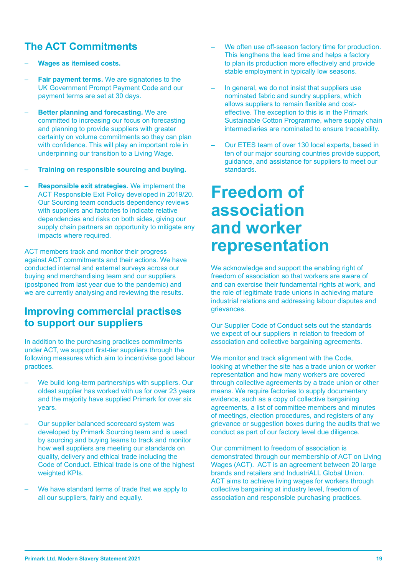### **The ACT Commitments**

- **Wages as itemised costs.**
- **Fair payment terms.** We are signatories to the UK Government Prompt Payment Code and our payment terms are set at 30 days.
- **Better planning and forecasting.** We are committed to increasing our focus on forecasting and planning to provide suppliers with greater certainty on volume commitments so they can plan with confidence. This will play an important role in underpinning our transition to a Living Wage.
- **Training on responsible sourcing and buying.**
- **Responsible exit strategies.** We implement the ACT Responsible Exit Policy developed in 2019/20. Our Sourcing team conducts dependency reviews with suppliers and factories to indicate relative dependencies and risks on both sides, giving our supply chain partners an opportunity to mitigate any impacts where required.

ACT members track and monitor their progress against ACT commitments and their actions. We have conducted internal and external surveys across our buying and merchandising team and our suppliers (postponed from last year due to the pandemic) and we are currently analysing and reviewing the results.

#### **Improving commercial practises to support our suppliers**

In addition to the purchasing practices commitments under ACT, we support first-tier suppliers through the following measures which aim to incentivise good labour practices.

- We build long-term partnerships with suppliers. Our oldest supplier has worked with us for over 23 years and the majority have supplied Primark for over six years.
- Our supplier balanced scorecard system was developed by Primark Sourcing team and is used by sourcing and buying teams to track and monitor how well suppliers are meeting our standards on quality, delivery and ethical trade including the Code of Conduct. Ethical trade is one of the highest weighted **KPIs.**
- We have standard terms of trade that we apply to all our suppliers, fairly and equally.
- We often use off-season factory time for production. This lengthens the lead time and helps a factory to plan its production more effectively and provide stable employment in typically low seasons.
- In general, we do not insist that suppliers use nominated fabric and sundry suppliers, which allows suppliers to remain flexible and costeffective. The exception to this is in the Primark Sustainable Cotton Programme, where supply chain intermediaries are nominated to ensure traceability.
- Our ETES team of over 130 local experts, based in ten of our major sourcing countries provide support, guidance, and assistance for suppliers to meet our standards.

# **Freedom of association and worker representation**

We acknowledge and support the enabling right of freedom of association so that workers are aware of and can exercise their fundamental rights at work, and the role of legitimate trade unions in achieving mature industrial relations and addressing labour disputes and grievances.

Our Supplier Code of Conduct sets out the standards we expect of our suppliers in relation to freedom of association and collective bargaining agreements.

We monitor and track alignment with the Code, looking at whether the site has a trade union or worker representation and how many workers are covered through collective agreements by a trade union or other means. We require factories to supply documentary evidence, such as a copy of collective bargaining agreements, a list of committee members and minutes of meetings, election procedures, and registers of any grievance or suggestion boxes during the audits that we conduct as part of our factory level due diligence.

Our commitment to freedom of association is demonstrated through our membership of ACT on Living Wages (ACT). ACT is an agreement between 20 large brands and retailers and IndustriALL Global Union. ACT aims to achieve living wages for workers through collective bargaining at industry level, freedom of association and responsible purchasing practices.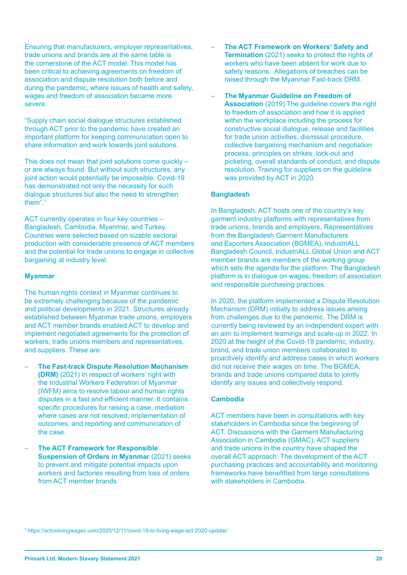Ensuring that manufacturers, employer representatives, trade unions and brands are at the same table is the cornerstone of the ACT model. This model has been critical to achieving agreements on freedom of association and dispute resolution both before and during the pandemic, where issues of health and safety, wages and freedom of association became more severe.

"Supply chain social dialogue structures established through ACT prior to the pandemic have created an important platform for keeping communication open to share information and work towards joint solutions.

This does not mean that joint solutions come quickly – or are always found. But without such structures, any joint action would potentially be impossible. Covid-19 has demonstrated not only the necessity for such dialogue structures but also the need to strengthen them".7

ACT currently operates in four key countries – Bangladesh, Cambodia, Myanmar, and Turkey. Countries were selected based on sizable sectoral production with considerable presence of ACT members and the potential for trade unions to engage in collective bargaining at industry level.

#### **Myanmar**

The human rights context in Myanmar continues to be extremely challenging because of the pandemic and political developments in 2021. Structures already established between Myanmar trade unions, employers and ACT member brands enabled ACT to develop and implement negotiated agreements for the protection of workers, trade unions members and representatives. and suppliers. These are:

- **The Fast-track Dispute Resolution Mechanism (DRM)** (2021) in respect of workers' right with the Industrial Workers Federation of Myanmar (IWFM) aims to resolve labour and human rights disputes in a fast and efficient manner. It contains specific procedures for raising a case, mediation where cases are not resolved, implementation of outcomes, and reporting and communication of the case.
- **The ACT Framework for Responsible Suspension of Orders in Myanmar (2021) seeks** to prevent and mitigate potential impacts upon workers and factories resulting from loss of orders from ACT member brands.
- **The ACT Framework on Workers' Safety and Termination** (2021) seeks to protect the rights of workers who have been absent for work due to safety reasons. Allegations of breaches can be raised through the Myanmar Fast-track DRM.
- **The Myanmar Guideline on Freedom of Association** (2019) The guideline covers the right to freedom of association and how it is applied within the workplace including the process for constructive social dialogue, release and facilities for trade union activities, dismissal procedure, collective bargaining mechanism and negotiation process, principles on strikes, lock-out and picketing, overall standards of conduct, and dispute resolution. Training for suppliers on the guideline was provided by ACT in 2020.

#### **Bangladesh**

In Bangladesh, ACT hosts one of the country's key garment industry platforms with representatives from trade unions, brands and employers, Representatives from the Bangladesh Garment Manufacturers and Exporters Association (BGMEA), IndustriALL Bangladesh Council, IndustriALL Global Union and ACT member brands are members of the working group which sets the agenda for the platform. The Bangladesh platform is in dialogue on wages, freedom of association and responsible purchasing practices.

In 2020, the platform implemented a Dispute Resolution Mechanism (DRM) initially to address issues arising from challenges due to the pandemic. The DRM is currently being reviewed by an independent expert with an aim to implement learnings and scale-up in 2022. In 2020 at the height of the Covid-19 pandemic, industry, brand, and trade union members collaborated to proactively identify and address cases in which workers did not receive their wages on time. The BGMEA, brands and trade unions compared data to jointly identify any issues and collectively respond.

#### **Cambodia**

ACT members have been in consultations with key stakeholders in Cambodia since the beginning of ACT. Discussions with the Garment Manufacturing Association in Cambodia (GMAC), ACT suppliers and trade unions in the country have shaped the overall ACT approach. The development of the ACT purchasing practices and accountability and monitoring frameworks have benefitted from large consultations with stakeholders in Cambodia.

7 https://actonlivingwages.com/2020/12/11/covid-19-to-living-wage-act-2020-update/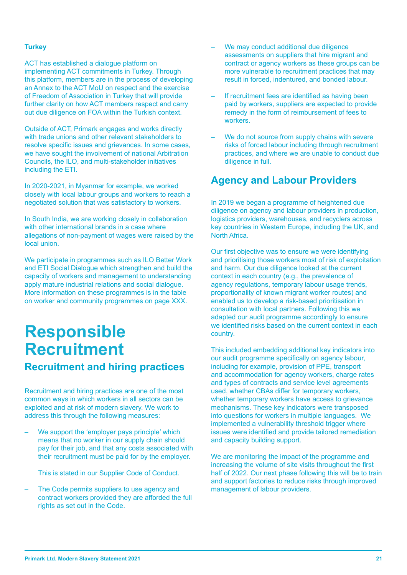#### **Turkey**

ACT has established a dialogue platform on implementing ACT commitments in Turkey. Through this platform, members are in the process of developing an Annex to the ACT MoU on respect and the exercise of Freedom of Association in Turkey that will provide further clarity on how ACT members respect and carry out due diligence on FOA within the Turkish context.

Outside of ACT, Primark engages and works directly with trade unions and other relevant stakeholders to resolve specific issues and grievances. In some cases, we have sought the involvement of national Arbitration Councils, the ILO, and multi-stakeholder initiatives including the ETI.

In 2020-2021, in Myanmar for example, we worked closely with local labour groups and workers to reach a negotiated solution that was satisfactory to workers.

In South India, we are working closely in collaboration with other international brands in a case where allegations of non-payment of wages were raised by the local union.

We participate in programmes such as ILO Better Work and ETI Social Dialogue which strengthen and build the capacity of workers and management to understanding apply mature industrial relations and social dialogue. More information on these programmes is in the table on worker and community programmes on page XXX.

### **Responsible Recruitment Recruitment and hiring practices**

#### Recruitment and hiring practices are one of the most common ways in which workers in all sectors can be exploited and at risk of modern slavery. We work to

- address this through the following measures: We support the 'employer pays principle' which means that no worker in our supply chain should pay for their job, and that any costs associated with
	- This is stated in our Supplier Code of Conduct.

their recruitment must be paid for by the employer.

The Code permits suppliers to use agency and contract workers provided they are afforded the full rights as set out in the Code.

- We may conduct additional due diligence assessments on suppliers that hire migrant and contract or agency workers as these groups can be more vulnerable to recruitment practices that may result in forced, indentured, and bonded labour.
- If recruitment fees are identified as having been paid by workers, suppliers are expected to provide remedy in the form of reimbursement of fees to workers.
- We do not source from supply chains with severe risks of forced labour including through recruitment practices, and where we are unable to conduct due diligence in full.

#### **Agency and Labour Providers**

In 2019 we began a programme of heightened due diligence on agency and labour providers in production, logistics providers, warehouses, and recyclers across key countries in Western Europe, including the UK, and North Africa.

Our first objective was to ensure we were identifying and prioritising those workers most of risk of exploitation and harm. Our due diligence looked at the current context in each country (e.g., the prevalence of agency regulations, temporary labour usage trends, proportionality of known migrant worker routes) and enabled us to develop a risk-based prioritisation in consultation with local partners. Following this we adapted our audit programme accordingly to ensure we identified risks based on the current context in each country.

This included embedding additional key indicators into our audit programme specifically on agency labour, including for example, provision of PPE, transport and accommodation for agency workers, charge rates and types of contracts and service level agreements used, whether CBAs differ for temporary workers, whether temporary workers have access to grievance mechanisms. These key indicators were transposed into questions for workers in multiple languages. We implemented a vulnerability threshold trigger where issues were identified and provide tailored remediation and capacity building support.

We are monitoring the impact of the programme and increasing the volume of site visits throughout the first half of 2022. Our next phase following this will be to train and support factories to reduce risks through improved management of labour providers.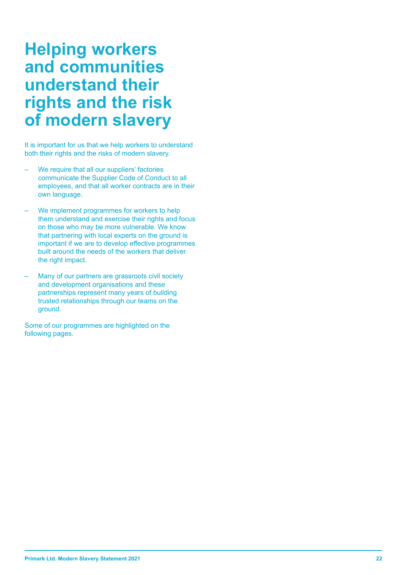# **Helping workers and communities understand their rights and the risk of modern slavery**

It is important for us that we help workers to understand both their rights and the risks of modern slavery.

- We require that all our suppliers' factories communicate the Supplier Code of Conduct to all employees, and that all worker contracts are in their own language.
- We implement programmes for workers to help them understand and exercise their rights and focus on those who may be more vulnerable. We know that partnering with local experts on the ground is important if we are to develop effective programmes built around the needs of the workers that deliver the right impact.
- Many of our partners are grassroots civil society and development organisations and these partnerships represent many years of building trusted relationships through our teams on the ground.

Some of our programmes are highlighted on the following pages.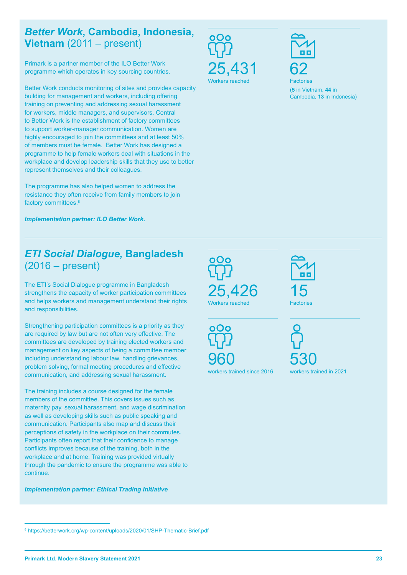#### *Better Work***, Cambodia, Indonesia, Vietnam** (2011 – present)

Primark is a partner member of the ILO Better Work programme which operates in key sourcing countries.

Better Work conducts monitoring of sites and provides capacity building for management and workers, including offering training on preventing and addressing sexual harassment for workers, middle managers, and supervisors. Central to Better Work is the establishment of factory committees to support worker-manager communication. Women are highly encouraged to join the committees and at least 50% of members must be female. Better Work has designed a programme to help female workers deal with situations in the workplace and develop leadership skills that they use to better represent themselves and their colleagues.

The programme has also helped women to address the resistance they often receive from family members to join factory committees.<sup>8</sup>

*Implementation partner: ILO Better Work.*

### *ETI Social Dialogue,* **Bangladesh** (2016 – present)

The ETI's Social Dialogue programme in Bangladesh strengthens the capacity of worker participation committees and helps workers and management understand their rights and responsibilities.

Strengthening participation committees is a priority as they are required by law but are not often very effective. The committees are developed by training elected workers and management on key aspects of being a committee member including understanding labour law, handling grievances, problem solving, formal meeting procedures and effective communication, and addressing sexual harassment.

The training includes a course designed for the female members of the committee. This covers issues such as maternity pay, sexual harassment, and wage discrimination as well as developing skills such as public speaking and communication. Participants also map and discuss their perceptions of safety in the workplace on their commutes. Participants often report that their confidence to manage conflicts improves because of the training, both in the workplace and at home. Training was provided virtually through the pandemic to ensure the programme was able to continue.

*Implementation partner: Ethical Trading Initiative*





**Factories** (**5** in Vietnam, **44** in Cambodia, **13** in Indonesia)





15 **Factories** 



530 workers trained in 2021

<sup>8</sup> https://betterwork.org/wp-content/uploads/2020/01/SHP-Thematic-Brief.pdf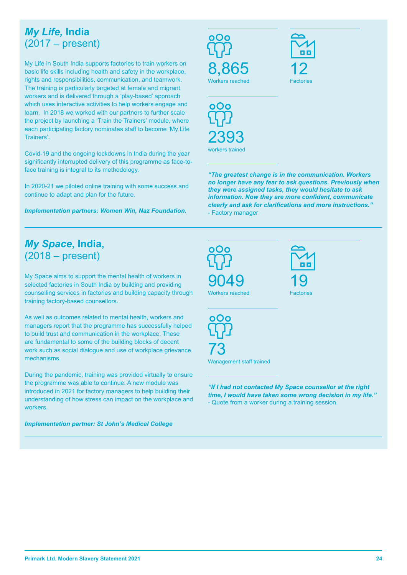### *My Life,* **India** (2017 – present)

My Life in South India supports factories to train workers on basic life skills including health and safety in the workplace, rights and responsibilities, communication, and teamwork. The training is particularly targeted at female and migrant workers and is delivered through a 'play-based' approach which uses interactive activities to help workers engage and learn. In 2018 we worked with our partners to further scale the project by launching a 'Train the Trainers' module, where each participating factory nominates staff to become 'My Life Trainers'.

Covid-19 and the ongoing lockdowns in India during the year significantly interrupted delivery of this programme as face-toface training is integral to its methodology.

In 2020-21 we piloted online training with some success and continue to adapt and plan for the future.

*Implementation partners: Women Win, Naz Foundation.*

### *My Space***, India,**  (2018 – present)

My Space aims to support the mental health of workers in selected factories in South India by building and providing counselling services in factories and building capacity through training factory-based counsellors.

As well as outcomes related to mental health, workers and managers report that the programme has successfully helped to build trust and communication in the workplace. These are fundamental to some of the building blocks of decent work such as social dialogue and use of workplace grievance mechanisms.

During the pandemic, training was provided virtually to ensure the programme was able to continue. A new module was introduced in 2021 for factory managers to help building their understanding of how stress can impact on the workplace and workers.

*Implementation partner: St John's Medical College*

8,865 Workers reached





*"The greatest change is in the communication. Workers no longer have any fear to ask questions. Previously when they were assigned tasks, they would hesitate to ask information. Now they are more confident, communicate clearly and ask for clarifications and more instructions."*  - Factory manager



*"If I had not contacted My Space counsellor at the right time, I would have taken some wrong decision in my life."* - Quote from a worker during a training session.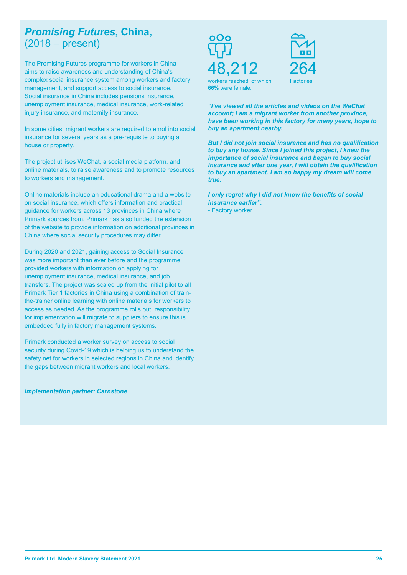### *Promising Futures***, China,**  (2018 – present)

The Promising Futures programme for workers in China aims to raise awareness and understanding of China's complex social insurance system among workers and factory management, and support access to social insurance. Social insurance in China includes pensions insurance, unemployment insurance, medical insurance, work-related injury insurance, and maternity insurance.

In some cities, migrant workers are required to enrol into social insurance for several years as a pre-requisite to buying a house or property.

The project utilises WeChat, a social media platform, and online materials, to raise awareness and to promote resources to workers and management.

Online materials include an educational drama and a website on social insurance, which offers information and practical guidance for workers across 13 provinces in China where Primark sources from. Primark has also funded the extension of the website to provide information on additional provinces in China where social security procedures may differ.

During 2020 and 2021, gaining access to Social Insurance was more important than ever before and the programme provided workers with information on applying for unemployment insurance, medical insurance, and job transfers. The project was scaled up from the initial pilot to all Primark Tier 1 factories in China using a combination of trainthe-trainer online learning with online materials for workers to access as needed. As the programme rolls out, responsibility for implementation will migrate to suppliers to ensure this is embedded fully in factory management systems.

Primark conducted a worker survey on access to social security during Covid-19 which is helping us to understand the safety net for workers in selected regions in China and identify the gaps between migrant workers and local workers.

*Implementation partner: Carnstone*

212



workers reached, of which **66%** were female.

*"I've viewed all the articles and videos on the WeChat account; I am a migrant worker from another province, have been working in this factory for many years, hope to buy an apartment nearby.* 

*But I did not join social insurance and has no qualification to buy any house. Since I joined this project, I knew the importance of social insurance and began to buy social insurance and after one year, I will obtain the qualification to buy an apartment. I am so happy my dream will come true.* 

*I only regret why I did not know the benefits of social insurance earlier".*

- Factory worker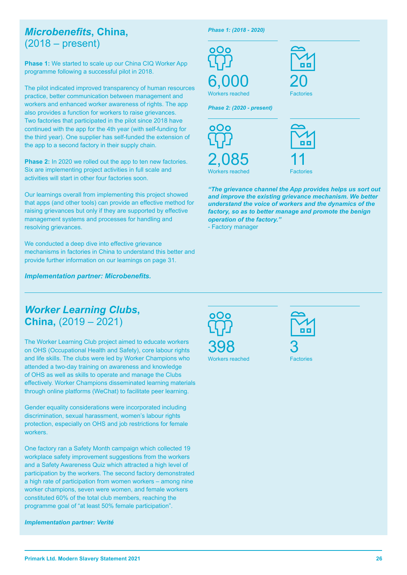### *Microbenefits***, China,**  (2018 – present)

**Phase 1:** We started to scale up our China CIQ Worker App programme following a successful pilot in 2018.

The pilot indicated improved transparency of human resources practice, better communication between management and workers and enhanced worker awareness of rights. The app also provides a function for workers to raise grievances. Two factories that participated in the pilot since 2018 have continued with the app for the 4th year (with self-funding for the third year). One supplier has self-funded the extension of the app to a second factory in their supply chain.

**Phase 2:** In 2020 we rolled out the app to ten new factories. Six are implementing project activities in full scale and activities will start in other four factories soon.

Our learnings overall from implementing this project showed that apps (and other tools) can provide an effective method for raising grievances but only if they are supported by effective management systems and processes for handling and resolving grievances.

We conducted a deep dive into effective grievance mechanisms in factories in China to understand this better and provide further information on our learnings on page 31.

*Implementation partner: Microbenefits.*

*Phase 1: (2018 - 2020)*



20 **Factories** 

*Phase 2: (2020 - present)*





*"The grievance channel the App provides helps us sort out and improve the existing grievance mechanism. We better understand the voice of workers and the dynamics of the factory, so as to better manage and promote the benign operation of the factory."*

- Factory manager

#### *Worker Learning Clubs***, China,** (2019 – 2021)

The Worker Learning Club project aimed to educate workers on OHS (Occupational Health and Safety), core labour rights and life skills. The clubs were led by Worker Champions who attended a two-day training on awareness and knowledge of OHS as well as skills to operate and manage the Clubs effectively. Worker Champions disseminated learning materials through online platforms (WeChat) to facilitate peer learning.

Gender equality considerations were incorporated including discrimination, sexual harassment, women's labour rights protection, especially on OHS and job restrictions for female workers.

One factory ran a Safety Month campaign which collected 19 workplace safety improvement suggestions from the workers and a Safety Awareness Quiz which attracted a high level of participation by the workers. The second factory demonstrated a high rate of participation from women workers – among nine worker champions, seven were women, and female workers constituted 60% of the total club members, reaching the programme goal of "at least 50% female participation".

*Implementation partner: Verité*





Workers reached Factories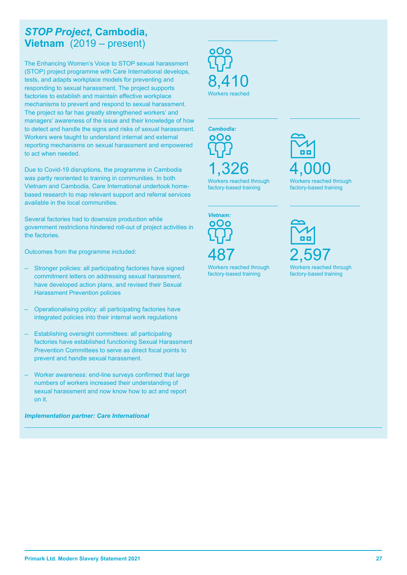#### *STOP Project***, Cambodia, Vietnam** (2019 – present)

The Enhancing Women's Voice to STOP sexual harassment (STOP) project programme with Care International develops, tests, and adapts workplace models for preventing and responding to sexual harassment. The project supports factories to establish and maintain effective workplace mechanisms to prevent and respond to sexual harassment. The project so far has greatly strengthened workers' and managers' awareness of the issue and their knowledge of how to detect and handle the signs and risks of sexual harassment. Workers were taught to understand internal and external reporting mechanisms on sexual harassment and empowered to act when needed.

Due to Covid-19 disruptions, the programme in Cambodia was partly reoriented to training in communities. In both Vietnam and Cambodia, Care International undertook homebased research to map relevant support and referral services available in the local communities.

Several factories had to downsize production while government restrictions hindered roll-out of project activities in the factories.

Outcomes from the programme included:

- Stronger policies: all participating factories have signed commitment letters on addressing sexual harassment, have developed action plans, and revised their Sexual Harassment Prevention policies
- Operationalising policy: all participating factories have integrated policies into their internal work regulations
- Establishing oversight committees: all participating factories have established functioning Sexual Harassment Prevention Committees to serve as direct focal points to prevent and handle sexual harassment.
- Worker awareness: end-line surveys confirmed that large numbers of workers increased their understanding of sexual harassment and now know how to act and report on it.

*Implementation partner: Care International*

8,410 Workers reached



*Vietnam:* 000 487

Workers reached through factory-based training

4,000 Workers reached through factory-based training

2,597 Workers reached through

factory-based training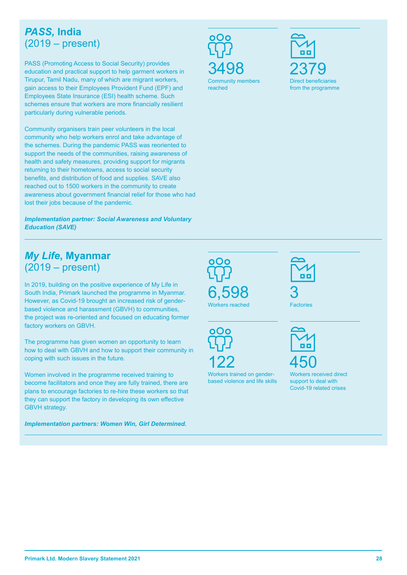#### *PASS,* **India**  (2019 – present)

PASS (Promoting Access to Social Security) provides education and practical support to help garment workers in Tirupur, Tamil Nadu, many of which are migrant workers, gain access to their Employees Provident Fund (EPF) and Employees State Insurance (ESI) health scheme. Such schemes ensure that workers are more financially resilient particularly during vulnerable periods.

Community organisers train peer volunteers in the local community who help workers enrol and take advantage of the schemes. During the pandemic PASS was reoriented to support the needs of the communities, raising awareness of health and safety measures, providing support for migrants returning to their hometowns, access to social security benefits, and distribution of food and supplies. SAVE also reached out to 1500 workers in the community to create awareness about government financial relief for those who had lost their jobs because of the pandemic.

*Implementation partner: Social Awareness and Voluntary Education (SAVE)*

### *My Life***, Myanmar**  (2019 – present)

In 2019, building on the positive experience of My Life in South India, Primark launched the programme in Myanmar. However, as Covid-19 brought an increased risk of genderbased violence and harassment (GBVH) to communities, the project was re-oriented and focused on educating former factory workers on GBVH.

The programme has given women an opportunity to learn how to deal with GBVH and how to support their community in coping with such issues in the future.

Women involved in the programme received training to become facilitators and once they are fully trained, there are plans to encourage factories to re-hire these workers so that they can support the factory in developing its own effective GBVH strategy.

*Implementation partners: Women Win, Girl Determined.*

3498

2379 Direct beneficiaries from the programme

Community members reached



**Factories** 

റററ 122

6,598

Workers reached

Workers trained on genderbased violence and life skills



Workers received direct support to deal with Covid-19 related crises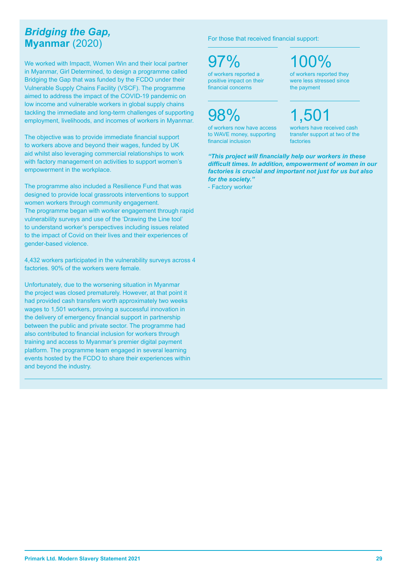### *Bridging the Gap,* **Myanmar** (2020)

We worked with Impactt, Women Win and their local partner in Myanmar, Girl Determined, to design a programme called Bridging the Gap that was funded by the FCDO under their Vulnerable Supply Chains Facility (VSCF). The programme aimed to address the impact of the COVID-19 pandemic on low income and vulnerable workers in global supply chains tackling the immediate and long-term challenges of supporting employment, livelihoods, and incomes of workers in Myanmar.

The objective was to provide immediate financial support to workers above and beyond their wages, funded by UK aid whilst also leveraging commercial relationships to work with factory management on activities to support women's empowerment in the workplace.

The programme also included a Resilience Fund that was designed to provide local grassroots interventions to support women workers through community engagement. The programme began with worker engagement through rapid vulnerability surveys and use of the 'Drawing the Line tool' to understand worker's perspectives including issues related to the impact of Covid on their lives and their experiences of gender-based violence.

4,432 workers participated in the vulnerability surveys across 4 factories. 90% of the workers were female.

Unfortunately, due to the worsening situation in Myanmar the project was closed prematurely. However, at that point it had provided cash transfers worth approximately two weeks wages to 1,501 workers, proving a successful innovation in the delivery of emergency financial support in partnership between the public and private sector. The programme had also contributed to financial inclusion for workers through training and access to Myanmar's premier digital payment platform. The programme team engaged in several learning events hosted by the FCDO to share their experiences within and beyond the industry.

For those that received financial support:

97%

of workers reported a positive impact on their financial concerns

98%

of workers now have access to WAVE money, supporting financial inclusion

100% of workers reported they

were less stressed since the payment

# $1,50^{\circ}$

workers have received cash transfer support at two of the factories

*"This project will financially help our workers in these difficult times. In addition, empowerment of women in our factories is crucial and important not just for us but also for the society."*

- Factory worker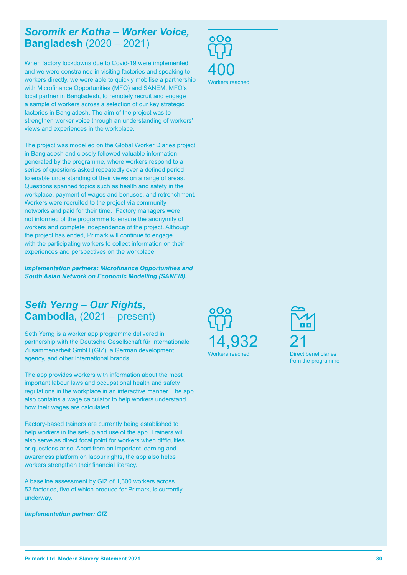#### *Soromik er Kotha – Worker Voice,*  **Bangladesh** (2020 – 2021)

When factory lockdowns due to Covid-19 were implemented and we were constrained in visiting factories and speaking to workers directly, we were able to quickly mobilise a partnership with Microfinance Opportunities (MFO) and SANEM, MFO's local partner in Bangladesh, to remotely recruit and engage a sample of workers across a selection of our key strategic factories in Bangladesh. The aim of the project was to strengthen worker voice through an understanding of workers' views and experiences in the workplace.

The project was modelled on the Global Worker Diaries project in Bangladesh and closely followed valuable information generated by the programme, where workers respond to a series of questions asked repeatedly over a defined period to enable understanding of their views on a range of areas. Questions spanned topics such as health and safety in the workplace, payment of wages and bonuses, and retrenchment. Workers were recruited to the project via community networks and paid for their time. Factory managers were not informed of the programme to ensure the anonymity of workers and complete independence of the project. Although the project has ended, Primark will continue to engage with the participating workers to collect information on their experiences and perspectives on the workplace.

*Implementation partners: Microfinance Opportunities and South Asian Network on Economic Modelling (SANEM).* 

### *Seth Yerng – Our Rights***, Cambodia,** (2021 – present)

Seth Yerng is a worker app programme delivered in partnership with the Deutsche Gesellschaft für Internationale Zusammenarbeit GmbH (GIZ), a German development agency, and other international brands.

The app provides workers with information about the most important labour laws and occupational health and safety regulations in the workplace in an interactive manner. The app also contains a wage calculator to help workers understand how their wages are calculated.

Factory-based trainers are currently being established to help workers in the set-up and use of the app. Trainers will also serve as direct focal point for workers when difficulties or questions arise. Apart from an important learning and awareness platform on labour rights, the app also helps workers strengthen their financial literacy.

A baseline assessment by GIZ of 1,300 workers across 52 factories, five of which produce for Primark, is currently underway.

*Implementation partner: GIZ*





14,932

Workers reached



Direct beneficiaries from the programme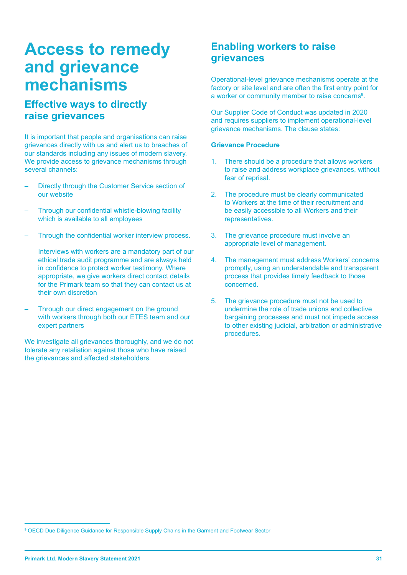### **Access to remedy and grievance mechanisms**

#### **Effective ways to directly raise grievances**

It is important that people and organisations can raise grievances directly with us and alert us to breaches of our standards including any issues of modern slavery. We provide access to grievance mechanisms through several channels:

- Directly through the Customer Service section of our website
- Through our confidential whistle-blowing facility which is available to all employees
- Through the confidential worker interview process.

Interviews with workers are a mandatory part of our ethical trade audit programme and are always held in confidence to protect worker testimony. Where appropriate, we give workers direct contact details for the Primark team so that they can contact us at their own discretion

– Through our direct engagement on the ground with workers through both our ETES team and our expert partners

We investigate all grievances thoroughly, and we do not tolerate any retaliation against those who have raised the grievances and affected stakeholders.

#### **Enabling workers to raise grievances**

Operational-level grievance mechanisms operate at the factory or site level and are often the first entry point for a worker or community member to raise concerns<sup>9</sup>.

Our Supplier Code of Conduct was updated in 2020 and requires suppliers to implement operational-level grievance mechanisms. The clause states:

#### **Grievance Procedure**

- 1. There should be a procedure that allows workers to raise and address workplace grievances, without fear of reprisal.
- 2. The procedure must be clearly communicated to Workers at the time of their recruitment and be easily accessible to all Workers and their representatives.
- 3. The grievance procedure must involve an appropriate level of management.
- 4. The management must address Workers' concerns promptly, using an understandable and transparent process that provides timely feedback to those concerned.
- 5. The grievance procedure must not be used to undermine the role of trade unions and collective bargaining processes and must not impede access to other existing judicial, arbitration or administrative procedures.

<sup>9</sup> OECD Due Diligence Guidance for Responsible Supply Chains in the Garment and Footwear Sector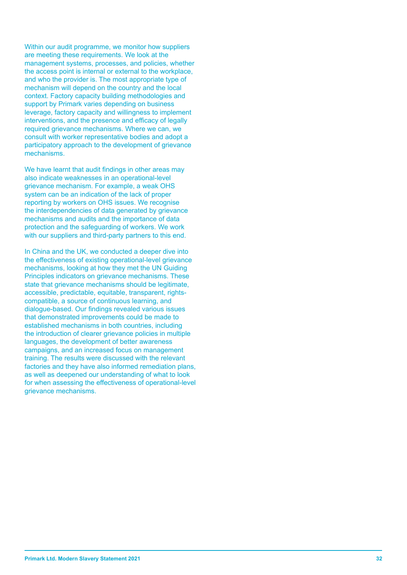Within our audit programme, we monitor how suppliers are meeting these requirements. We look at the management systems, processes, and policies, whether the access point is internal or external to the workplace, and who the provider is. The most appropriate type of mechanism will depend on the country and the local context. Factory capacity building methodologies and support by Primark varies depending on business leverage, factory capacity and willingness to implement interventions, and the presence and efficacy of legally required grievance mechanisms. Where we can, we consult with worker representative bodies and adopt a participatory approach to the development of grievance mechanisms.

We have learnt that audit findings in other areas may also indicate weaknesses in an operational-level grievance mechanism. For example, a weak OHS system can be an indication of the lack of proper reporting by workers on OHS issues. We recognise the interdependencies of data generated by grievance mechanisms and audits and the importance of data protection and the safeguarding of workers. We work with our suppliers and third-party partners to this end.

In China and the UK, we conducted a deeper dive into the effectiveness of existing operational-level grievance mechanisms, looking at how they met the UN Guiding Principles indicators on grievance mechanisms. These state that grievance mechanisms should be legitimate, accessible, predictable, equitable, transparent, rightscompatible, a source of continuous learning, and dialogue-based. Our findings revealed various issues that demonstrated improvements could be made to established mechanisms in both countries, including the introduction of clearer grievance policies in multiple languages, the development of better awareness campaigns, and an increased focus on management training. The results were discussed with the relevant factories and they have also informed remediation plans, as well as deepened our understanding of what to look for when assessing the effectiveness of operational-level grievance mechanisms.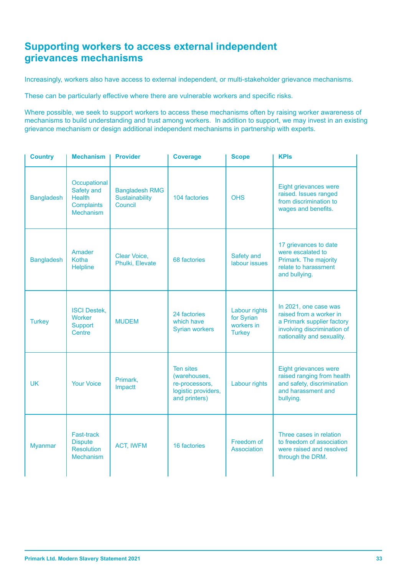#### **Supporting workers to access external independent grievances mechanisms**

Increasingly, workers also have access to external independent, or multi-stakeholder grievance mechanisms.

These can be particularly effective where there are vulnerable workers and specific risks.

Where possible, we seek to support workers to access these mechanisms often by raising worker awareness of mechanisms to build understanding and trust among workers. In addition to support, we may invest in an existing grievance mechanism or design additional independent mechanisms in partnership with experts.

| <b>Country</b>    | <b>Mechanism</b>                                                                     | <b>Provider</b>                                    | <b>Coverage</b>                                                                            | <b>Scope</b>                                               | <b>KPIs</b>                                                                                                                                 |
|-------------------|--------------------------------------------------------------------------------------|----------------------------------------------------|--------------------------------------------------------------------------------------------|------------------------------------------------------------|---------------------------------------------------------------------------------------------------------------------------------------------|
| <b>Bangladesh</b> | Occupational<br>Safety and<br><b>Health</b><br><b>Complaints</b><br><b>Mechanism</b> | <b>Bangladesh RMG</b><br>Sustainability<br>Council | 104 factories                                                                              | <b>OHS</b>                                                 | Eight grievances were<br>raised. Issues ranged<br>from discrimination to<br>wages and benefits.                                             |
| <b>Bangladesh</b> | Amader<br>Kotha<br><b>Helpline</b>                                                   | Clear Voice,<br>Phulki, Elevate                    | 68 factories                                                                               | Safety and<br>labour issues                                | 17 grievances to date<br>were escalated to<br>Primark. The majority<br>relate to harassment<br>and bullying.                                |
| <b>Turkey</b>     | <b>ISCI Destek,</b><br><b>Worker</b><br><b>Support</b><br>Centre                     | <b>MUDEM</b>                                       | 24 factories<br>which have<br><b>Syrian workers</b>                                        | Labour rights<br>for Syrian<br>workers in<br><b>Turkey</b> | In 2021, one case was<br>raised from a worker in<br>a Primark supplier factory<br>involving discrimination of<br>nationality and sexuality. |
| <b>UK</b>         | <b>Your Voice</b>                                                                    | Primark,<br>Impactt                                | <b>Ten sites</b><br>(warehouses,<br>re-processors,<br>logistic providers,<br>and printers) | Labour rights                                              | Eight grievances were<br>raised ranging from health<br>and safety, discrimination<br>and harassment and<br>bullying.                        |
| <b>Myanmar</b>    | Fast-track<br><b>Dispute</b><br><b>Resolution</b><br><b>Mechanism</b>                | <b>ACT, IWFM</b>                                   | 16 factories                                                                               | Freedom of<br><b>Association</b>                           | Three cases in relation<br>to freedom of association<br>were raised and resolved<br>through the DRM.                                        |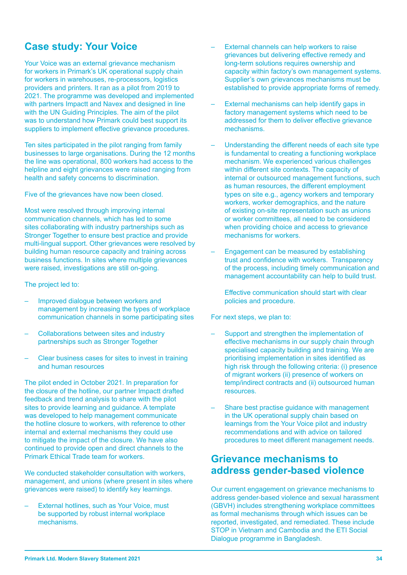#### **Case study: Your Voice**

Your Voice was an external grievance mechanism for workers in Primark's UK operational supply chain for workers in warehouses, re-processors, logistics providers and printers. It ran as a pilot from 2019 to 2021. The programme was developed and implemented with partners Impactt and Navex and designed in line with the UN Guiding Principles. The aim of the pilot was to understand how Primark could best support its suppliers to implement effective grievance procedures.

Ten sites participated in the pilot ranging from family businesses to large organisations. During the 12 months the line was operational, 800 workers had access to the helpline and eight grievances were raised ranging from health and safety concerns to discrimination.

Five of the grievances have now been closed.

Most were resolved through improving internal communication channels, which has led to some sites collaborating with industry partnerships such as Stronger Together to ensure best practice and provide multi-lingual support. Other grievances were resolved by building human resource capacity and training across business functions. In sites where multiple grievances were raised, investigations are still on-going.

The project led to:

- Improved dialogue between workers and management by increasing the types of workplace communication channels in some participating sites
- Collaborations between sites and industry partnerships such as Stronger Together
- Clear business cases for sites to invest in training and human resources

The pilot ended in October 2021. In preparation for the closure of the hotline, our partner Impactt drafted feedback and trend analysis to share with the pilot sites to provide learning and guidance. A template was developed to help management communicate the hotline closure to workers, with reference to other internal and external mechanisms they could use to mitigate the impact of the closure. We have also continued to provide open and direct channels to the Primark Ethical Trade team for workers.

We conducted stakeholder consultation with workers, management, and unions (where present in sites where grievances were raised) to identify key learnings.

– External hotlines, such as Your Voice, must be supported by robust internal workplace mechanisms.

- External channels can help workers to raise grievances but delivering effective remedy and long-term solutions requires ownership and capacity within factory's own management systems. Supplier's own grievances mechanisms must be established to provide appropriate forms of remedy.
- External mechanisms can help identify gaps in factory management systems which need to be addressed for them to deliver effective grievance mechanisms.
- Understanding the different needs of each site type is fundamental to creating a functioning workplace mechanism. We experienced various challenges within different site contexts. The capacity of internal or outsourced management functions, such as human resources, the different employment types on site e.g., agency workers and temporary workers, worker demographics, and the nature of existing on-site representation such as unions or worker committees, all need to be considered when providing choice and access to grievance mechanisms for workers.
- Engagement can be measured by establishing trust and confidence with workers. Transparency of the process, including timely communication and management accountability can help to build trust.
	- Effective communication should start with clear policies and procedure.

For next steps, we plan to:

- Support and strengthen the implementation of effective mechanisms in our supply chain through specialised capacity building and training. We are prioritising implementation in sites identified as high risk through the following criteria: (i) presence of migrant workers (ii) presence of workers on temp/indirect contracts and (ii) outsourced human resources.
- Share best practise guidance with management in the UK operational supply chain based on learnings from the Your Voice pilot and industry recommendations and with advice on tailored procedures to meet different management needs.

#### **Grievance mechanisms to address gender-based violence**

Our current engagement on grievance mechanisms to address gender-based violence and sexual harassment (GBVH) includes strengthening workplace committees as formal mechanisms through which issues can be reported, investigated, and remediated. These include STOP in Vietnam and Cambodia and the ETI Social Dialogue programme in Bangladesh.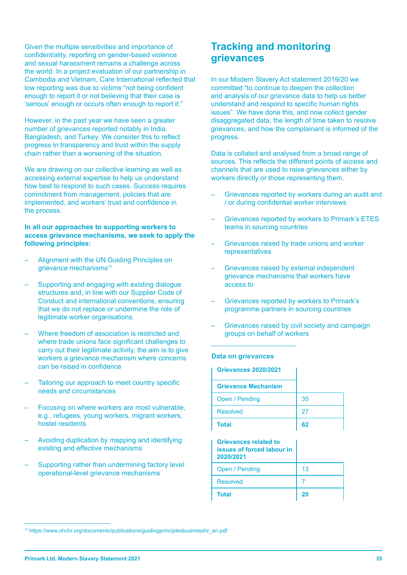Given the multiple sensitivities and importance of confidentiality, reporting on gender-based violence and sexual harassment remains a challenge across the world. In a project evaluation of our partnership in Cambodia and Vietnam, Care International reflected that low reporting was due to victims "not being confident enough to report it or not believing that their case is 'serious' enough or occurs often enough to report it."

However, in the past year we have seen a greater number of grievances reported notably in India, Bangladesh, and Turkey. We consider this to reflect progress in transparency and trust within the supply chain rather than a worsening of the situation.

We are drawing on our collective learning as well as accessing external expertise to help us understand how best to respond to such cases. Success requires commitment from management, policies that are implemented, and workers' trust and confidence in the process.

#### **In all our approaches to supporting workers to access grievance mechanisms, we seek to apply the following principles:**

- Alignment with the UN Guiding Principles on grievance mechanisms<sup>11</sup>
- Supporting and engaging with existing dialogue structures and, in line with our Supplier Code of Conduct and international conventions, ensuring that we do not replace or undermine the role of legitimate worker organisations.
- Where freedom of association is restricted and where trade unions face significant challenges to carry out their legitimate activity, the aim is to give workers a grievance mechanism where concerns can be raised in confidence
- Tailoring our approach to meet country specific needs and circumstances
- Focusing on where workers are most vulnerable, e.g., refugees, young workers, migrant workers, hostel residents
- Avoiding duplication by mapping and identifying existing and effective mechanisms
- Supporting rather than undermining factory level operational-level grievance mechanisms

#### **Tracking and monitoring grievances**

In our Modern Slavery Act statement 2019/20 we committed "to continue to deepen the collection and analysis of our grievance data to help us better understand and respond to specific human rights issues". We have done this, and now collect gender disaggregated data, the length of time taken to resolve grievances, and how the complainant is informed of the progress.

Data is collated and analysed from a broad range of sources. This reflects the different points of access and channels that are used to raise grievances either by workers directly or those representing them.

- Grievances reported by workers during an audit and / or during confidential worker interviews
- Grievances reported by workers to Primark's ETES teams in sourcing countries
- Grievances raised by trade unions and worker representatives
- Grievances raised by external independent grievance mechanisms that workers have access to
- Grievances reported by workers to Primark's programme partners in sourcing countries
- Grievances raised by civil society and campaign groups on behalf of workers

#### **Data on grievances**

| <b>Grievances 2020/2021</b>                                                    |    |
|--------------------------------------------------------------------------------|----|
| <b>Grievance Mechanism</b>                                                     |    |
| Open / Pending                                                                 | 35 |
| <b>Resolved</b>                                                                | 27 |
| <b>Total</b>                                                                   | 62 |
|                                                                                |    |
| <b>Grievances related to</b><br><b>issues of forced labour in</b><br>2020/2021 |    |
| Open / Pending                                                                 | 13 |
| <b>Resolved</b>                                                                |    |

<sup>&</sup>lt;sup>11</sup> https://www.ohchr.org/documents/publications/guidingprinciplesbusinesshr\_en.pdf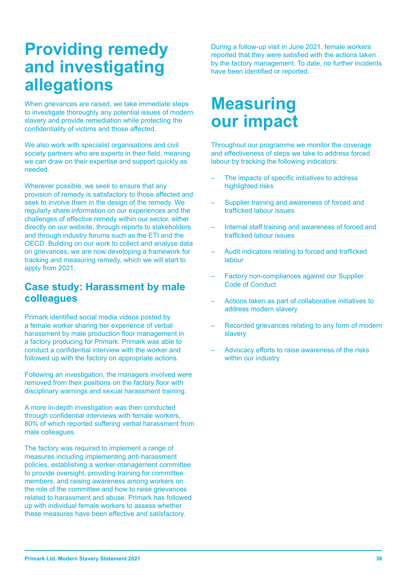# **Providing remedy and investigating allegations**

When grievances are raised, we take immediate steps to investigate thoroughly any potential issues of modern slavery and provide remediation while protecting the confidentiality of victims and those affected.

We also work with specialist organisations and civil society partners who are experts in their field, meaning we can draw on their expertise and support quickly as needed.

Wherever possible, we seek to ensure that any provision of remedy is satisfactory to those affected and seek to involve them in the design of the remedy. We regularly share information on our experiences and the challenges of effective remedy within our sector, either directly on our website, through reports to stakeholders and through industry forums such as the ETI and the OECD. Building on our work to collect and analyse data on grievances, we are now developing a framework for tracking and measuring remedy, which we will start to apply from 2021.

#### **Case study: Harassment by male colleagues**

Primark identified social media videos posted by a female worker sharing her experience of verbal harassment by male production floor management in a factory producing for Primark. Primark was able to conduct a confidential interview with the worker and followed up with the factory on appropriate actions.

Following an investigation, the managers involved were removed from their positions on the factory floor with disciplinary warnings and sexual harassment training.

A more in-depth investigation was then conducted through confidential interviews with female workers, 80% of which reported suffering verbal harassment from male colleagues.

The factory was required to implement a range of measures including implementing anti-harassment policies, establishing a worker-management committee to provide oversight, providing training for committee members, and raising awareness among workers on the role of the committee and how to raise grievances related to harassment and abuse. Primark has followed up with individual female workers to assess whether these measures have been effective and satisfactory.

During a follow-up visit in June 2021, female workers reported that they were satisfied with the actions taken by the factory management. To date, no further incidents have been identified or reported.

# **Measuring our impact**

Throughout our programme we monitor the coverage and effectiveness of steps we take to address forced labour by tracking the following indicators:

- The impacts of specific initiatives to address highlighted risks
- Supplier training and awareness of forced and trafficked labour issues
- Internal staff training and awareness of forced and trafficked labour issues
- Audit indicators relating to forced and trafficked labour
- Factory non-compliances against our Supplier Code of Conduct
- Actions taken as part of collaborative initiatives to address modern slavery
- Recorded grievances relating to any form of modern slavery
- Advocacy efforts to raise awareness of the risks within our industry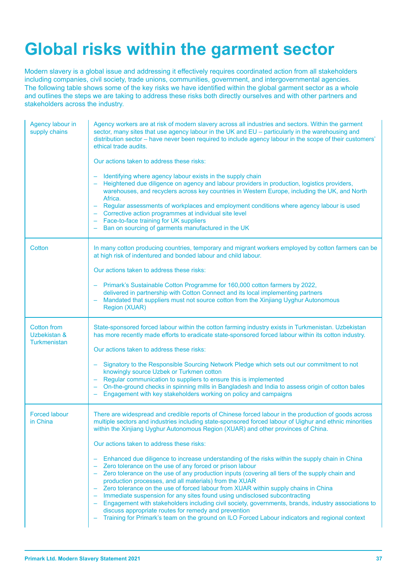# **Global risks within the garment sector**

Modern slavery is a global issue and addressing it effectively requires coordinated action from all stakeholders including companies, civil society, trade unions, communities, government, and intergovernmental agencies. The following table shows some of the key risks we have identified within the global garment sector as a whole and outlines the steps we are taking to address these risks both directly ourselves and with other partners and stakeholders across the industry.

| Agency labour in<br>supply chains                         | Agency workers are at risk of modern slavery across all industries and sectors. Within the garment<br>sector, many sites that use agency labour in the UK and EU - particularly in the warehousing and<br>distribution sector - have never been required to include agency labour in the scope of their customers'<br>ethical trade audits.<br>Our actions taken to address these risks:<br>Identifying where agency labour exists in the supply chain<br>Heightened due diligence on agency and labour providers in production, logistics providers,<br>warehouses, and recyclers across key countries in Western Europe, including the UK, and North<br>Africa.<br>Regular assessments of workplaces and employment conditions where agency labour is used<br>Corrective action programmes at individual site level<br>- Face-to-face training for UK suppliers<br>Ban on sourcing of garments manufactured in the UK                                                                                                                                                                                         |
|-----------------------------------------------------------|-----------------------------------------------------------------------------------------------------------------------------------------------------------------------------------------------------------------------------------------------------------------------------------------------------------------------------------------------------------------------------------------------------------------------------------------------------------------------------------------------------------------------------------------------------------------------------------------------------------------------------------------------------------------------------------------------------------------------------------------------------------------------------------------------------------------------------------------------------------------------------------------------------------------------------------------------------------------------------------------------------------------------------------------------------------------------------------------------------------------|
| Cotton                                                    | In many cotton producing countries, temporary and migrant workers employed by cotton farmers can be<br>at high risk of indentured and bonded labour and child labour.<br>Our actions taken to address these risks:<br>Primark's Sustainable Cotton Programme for 160,000 cotton farmers by 2022,<br>delivered in partnership with Cotton Connect and its local implementing partners<br>Mandated that suppliers must not source cotton from the Xinjiang Uyghur Autonomous<br>Region (XUAR)                                                                                                                                                                                                                                                                                                                                                                                                                                                                                                                                                                                                                     |
| <b>Cotton from</b><br>Uzbekistan &<br><b>Turkmenistan</b> | State-sponsored forced labour within the cotton farming industry exists in Turkmenistan. Uzbekistan<br>has more recently made efforts to eradicate state-sponsored forced labour within its cotton industry.<br>Our actions taken to address these risks:<br>Signatory to the Responsible Sourcing Network Pledge which sets out our commitment to not<br>knowingly source Uzbek or Turkmen cotton<br>Regular communication to suppliers to ensure this is implemented<br>On-the-ground checks in spinning mills in Bangladesh and India to assess origin of cotton bales<br>Engagement with key stakeholders working on policy and campaigns                                                                                                                                                                                                                                                                                                                                                                                                                                                                   |
| <b>Forced labour</b><br>in China                          | There are widespread and credible reports of Chinese forced labour in the production of goods across<br>multiple sectors and industries including state-sponsored forced labour of Uighur and ethnic minorities<br>within the Xinjiang Uyghur Autonomous Region (XUAR) and other provinces of China.<br>Our actions taken to address these risks:<br>Enhanced due diligence to increase understanding of the risks within the supply chain in China<br>Zero tolerance on the use of any forced or prison labour<br>Zero tolerance on the use of any production inputs (covering all tiers of the supply chain and<br>production processes, and all materials) from the XUAR<br>Zero tolerance on the use of forced labour from XUAR within supply chains in China<br>Immediate suspension for any sites found using undisclosed subcontracting<br>Engagement with stakeholders including civil society, governments, brands, industry associations to<br>discuss appropriate routes for remedy and prevention<br>Training for Primark's team on the ground on ILO Forced Labour indicators and regional context |